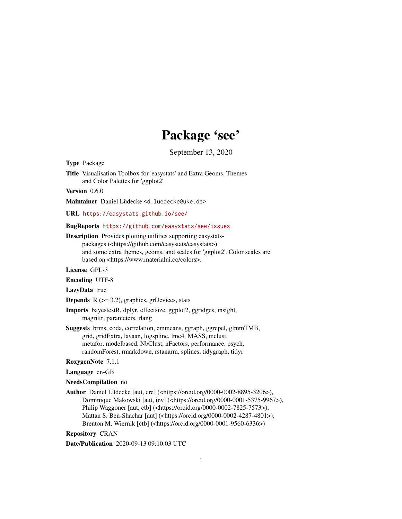# Package 'see'

September 13, 2020

<span id="page-0-0"></span>Type Package

Title Visualisation Toolbox for 'easystats' and Extra Geoms, Themes and Color Palettes for 'ggplot2'

Version 0.6.0

Maintainer Daniel Lüdecke <d. luedecke@uke.de>

URL <https://easystats.github.io/see/>

#### BugReports <https://github.com/easystats/see/issues>

Description Provides plotting utilities supporting easystatspackages (<https://github.com/easystats/easystats>) and some extra themes, geoms, and scales for 'ggplot2'. Color scales are based on <https://www.materialui.co/colors>.

License GPL-3

Encoding UTF-8

LazyData true

**Depends**  $R$  ( $>= 3.2$ ), graphics, grDevices, stats

Imports bayestestR, dplyr, effectsize, ggplot2, ggridges, insight, magrittr, parameters, rlang

Suggests brms, coda, correlation, emmeans, ggraph, ggrepel, glmmTMB, grid, gridExtra, lavaan, logspline, lme4, MASS, mclust, metafor, modelbased, NbClust, nFactors, performance, psych, randomForest, rmarkdown, rstanarm, splines, tidygraph, tidyr

#### RoxygenNote 7.1.1

Language en-GB

#### NeedsCompilation no

Author Daniel Lüdecke [aut, cre] (<https://orcid.org/0000-0002-8895-3206>), Dominique Makowski [aut, inv] (<https://orcid.org/0000-0001-5375-9967>), Philip Waggoner [aut, ctb] (<https://orcid.org/0000-0002-7825-7573>), Mattan S. Ben-Shachar [aut] (<https://orcid.org/0000-0002-4287-4801>), Brenton M. Wiernik [ctb] (<https://orcid.org/0000-0001-9560-6336>)

Repository CRAN

Date/Publication 2020-09-13 09:10:03 UTC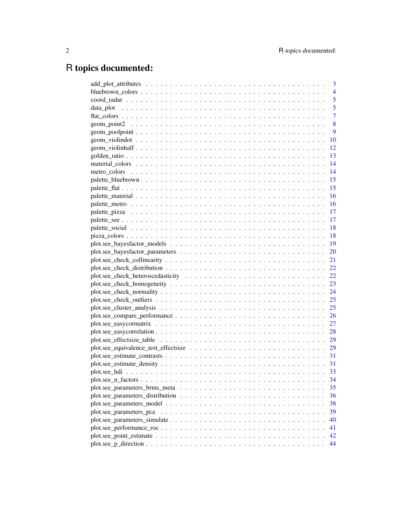# R topics documented:

| 3              |
|----------------|
| 4              |
| 5              |
| 5              |
| $\overline{7}$ |
| 8              |
| 9              |
| 10             |
| 12             |
| 13             |
| 14             |
| 14             |
| 15             |
| 15             |
| $-16$          |
|                |
|                |
|                |
|                |
|                |
|                |
|                |
|                |
|                |
| 22             |
| 23             |
|                |
| 25             |
|                |
|                |
|                |
|                |
|                |
|                |
|                |
|                |
| 33             |
| 34             |
| 35             |
| 36             |
| 38             |
| 39             |
| 40             |
| 41             |
| 42             |
| 44             |
|                |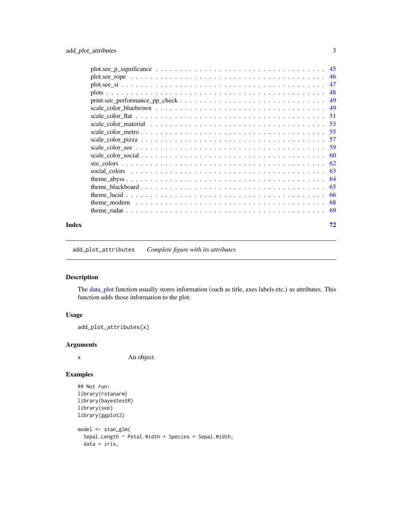<span id="page-2-0"></span>

| Index | 72 |
|-------|----|

add\_plot\_attributes *Complete figure with its attributes*

## Description

The [data\\_plot](#page-4-1) function usually stores information (such as title, axes labels etc.) as attributes. This function adds those information to the plot.

#### Usage

```
add_plot_attributes(x)
```
## Arguments

x An object.

## Examples

```
## Not run:
library(rstanarm)
library(bayestestR)
library(see)
library(ggplot2)
model <- stan_glm(
  Sepal.Length ~ Petal.Width + Species + Sepal.Width,
  data = iris,
```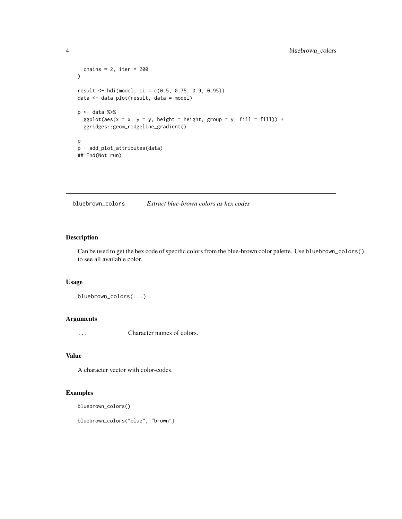```
chains = 2, iter = 200)
result <- hdi(model, ci = c(0.5, 0.75, 0.9, 0.95))
data <- data_plot(result, data = model)
p <- data %>%
  ggplot(aes(x = x, y = y, height = height, group = y, fill = fill)) +ggridges::geom_ridgeline_gradient()
p
p + add_plot_attributes(data)
## End(Not run)
```
bluebrown\_colors *Extract blue-brown colors as hex codes*

## Description

Can be used to get the hex code of specific colors from the blue-brown color palette. Use bluebrown\_colors() to see all available color.

#### Usage

bluebrown\_colors(...)

# Arguments

... Character names of colors.

#### Value

A character vector with color-codes.

#### Examples

```
bluebrown_colors()
```
bluebrown\_colors("blue", "brown")

<span id="page-3-0"></span>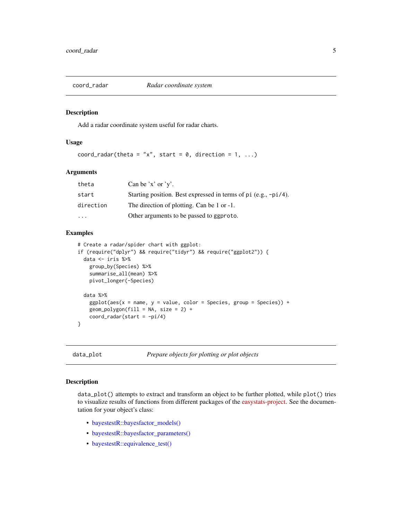<span id="page-4-0"></span>

#### Description

Add a radar coordinate system useful for radar charts.

#### Usage

coord\_radar(theta = "x", start =  $\theta$ , direction = 1, ...)

#### Arguments

| theta     | Can be 'x' or 'y'.                                              |
|-----------|-----------------------------------------------------------------|
| start     | Starting position. Best expressed in terms of pi (e.g., -pi/4). |
| direction | The direction of plotting. Can be 1 or -1.                      |
| $\ddotsc$ | Other arguments to be passed to ggproto.                        |

#### Examples

```
# Create a radar/spider chart with ggplot:
if (require("dplyr") && require("tidyr") && require("ggplot2")) {
 data <- iris %>%
   group_by(Species) %>%
    summarise_all(mean) %>%
   pivot_longer(-Species)
 data %>%
    ggplot(aes(x = name, y = value, color = Species, group = Species)) +geom\_polygon(fill = NA, size = 2) +coord\_radar(start = -pi/4)}
```
<span id="page-4-1"></span>

data\_plot *Prepare objects for plotting or plot objects*

#### Description

data\_plot() attempts to extract and transform an object to be further plotted, while plot() tries to visualize results of functions from different packages of the [easystats-project.](https://github.com/easystats) See the documentation for your object's class:

- [bayestestR::bayesfactor\\_models\(\)](#page-18-1)
- [bayestestR::bayesfactor\\_parameters\(\)](#page-19-1)
- [bayestestR::equivalence\\_test\(\)](#page-28-1)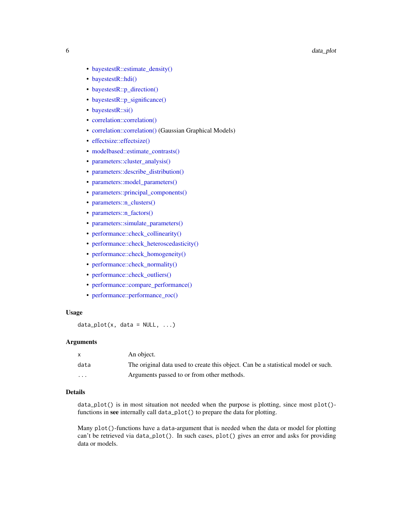- [bayestestR::estimate\\_density\(\)](#page-30-1)
- [bayestestR::hdi\(\)](#page-32-1)
- [bayestestR::p\\_direction\(\)](#page-43-1)
- [bayestestR::p\\_significance\(\)](#page-44-1)
- [bayestestR::si\(\)](#page-46-1)
- [correlation::correlation\(\)](#page-26-1)
- [correlation::correlation\(\)](#page-27-1) (Gaussian Graphical Models)
- [effectsize::effectsize\(\)](#page-28-2)
- [modelbased::estimate\\_contrasts\(\)](#page-30-2)
- [parameters::cluster\\_analysis\(\)](#page-24-1)
- [parameters::describe\\_distribution\(\)](#page-35-1)
- [parameters::model\\_parameters\(\)](#page-37-1)
- [parameters::principal\\_components\(\)](#page-38-1)
- [parameters::n\\_clusters\(\)](#page-33-1)
- [parameters::n\\_factors\(\)](#page-33-1)
- [parameters::simulate\\_parameters\(\)](#page-39-1)
- [performance::check\\_collinearity\(\)](#page-20-1)
- [performance::check\\_heteroscedasticity\(\)](#page-21-1)
- [performance::check\\_homogeneity\(\)](#page-22-1)
- [performance::check\\_normality\(\)](#page-23-1)
- performance::check outliers()
- [performance::compare\\_performance\(\)](#page-25-1)
- [performance::performance\\_roc\(\)](#page-40-1)

#### Usage

```
data\_plot(x, data = NULL, ...)
```
# Arguments

|                         | An object.                                                                        |
|-------------------------|-----------------------------------------------------------------------------------|
| data                    | The original data used to create this object. Can be a statistical model or such. |
| $\cdot$ $\cdot$ $\cdot$ | Arguments passed to or from other methods.                                        |

#### Details

 $data_plot()$  is in most situation not needed when the purpose is plotting, since most  $plot()$ functions in see internally call data\_plot() to prepare the data for plotting.

Many plot()-functions have a data-argument that is needed when the data or model for plotting can't be retrieved via data\_plot(). In such cases, plot() gives an error and asks for providing data or models.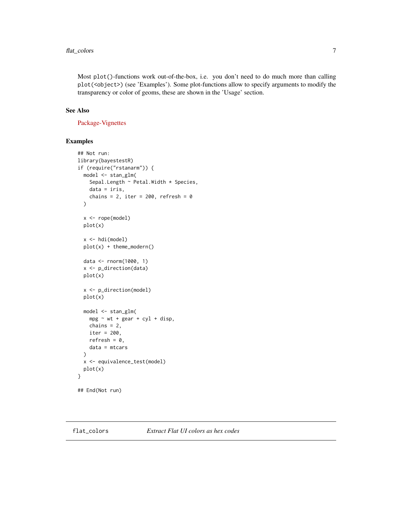<span id="page-6-0"></span>Most plot()-functions work out-of-the-box, i.e. you don't need to do much more than calling plot(<object>) (see 'Examples'). Some plot-functions allow to specify arguments to modify the transparency or color of geoms, these are shown in the 'Usage' section.

#### See Also

[Package-Vignettes](https://easystats.github.io/see/articles/)

#### Examples

```
## Not run:
library(bayestestR)
if (require("rstanarm")) {
  model <- stan_glm(
    Sepal.Length ~ Petal.Width * Species,
    data = iris,
    chains = 2, iter = 200, refresh = 0\lambdax <- rope(model)
  plot(x)
  x \leftarrow \text{hdi}(\text{model})plot(x) + theme_modern()
  data <- rnorm(1000, 1)
  x <- p_direction(data)
  plot(x)
  x <- p_direction(model)
  plot(x)
  model <- stan_glm(
    mpg \sim wt + gear + cyl + disp,chains = 2,
    iter = 200,
    refresh = 0,
    data = mtcars
  \lambdax <- equivalence_test(model)
  plot(x)
}
## End(Not run)
```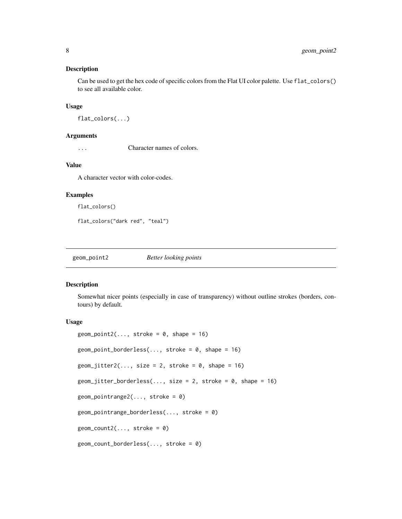#### <span id="page-7-0"></span>Description

Can be used to get the hex code of specific colors from the Flat UI color palette. Use flat\_colors() to see all available color.

#### Usage

```
flat_colors(...)
```
#### Arguments

... Character names of colors.

#### Value

A character vector with color-codes.

#### Examples

```
flat_colors()
```
flat\_colors("dark red", "teal")

geom\_point2 *Better looking points*

#### Description

Somewhat nicer points (especially in case of transparency) without outline strokes (borders, contours) by default.

```
geom\_point2(..., stroke = 0, shape = 16)geom_point_borderless(..., stroke = 0, shape = 16)
geom\_jitter2(..., size = 2, stroke = 0, shape = 16)geom\_jitter\_borderless(..., size = 2, stroke = 0, shape = 16)geom_pointrange2(..., stroke = 0)
geom_pointrange_borderless(..., stroke = 0)
geom\_count2(..., stroke = 0)geom_count_borderless(..., stroke = 0)
```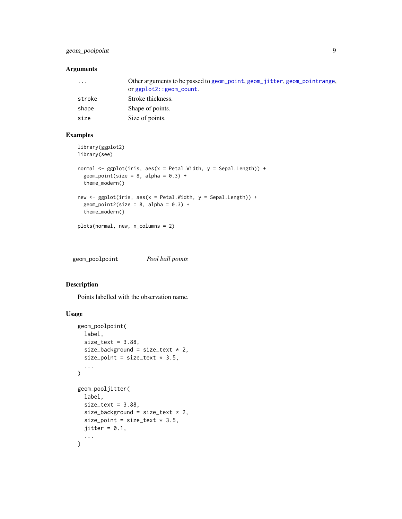# <span id="page-8-0"></span>geom\_poolpoint 9

#### Arguments

| $\ddotsc$ | Other arguments to be passed to geom_point, geom_jitter, geom_pointrange,<br>or $ggplot2$ : : $geom_count$ . |
|-----------|--------------------------------------------------------------------------------------------------------------|
| stroke    | Stroke thickness.                                                                                            |
| shape     | Shape of points.                                                                                             |
| size      | Size of points.                                                                                              |

#### Examples

```
library(ggplot2)
library(see)
normal <- ggplot(iris, aes(x = Petal.Width, y = Sepal.Length)) +
  geom_point(size = 8, alpha = 0.3) +
  theme_modern()
new \leq ggplot(iris, aes(x = Petal.Width, y = Sepal.Length)) +
  geom_point2(size = 8, alpha = 0.3) +
  theme_modern()
plots(normal, new, n_columns = 2)
```
geom\_poolpoint *Pool ball points*

#### Description

Points labelled with the observation name.

```
geom_poolpoint(
 label,
  size\_text = 3.88,
  size_background = size_text * 2,
 size_point = size_text * 3.5,
  ...
\mathcal{L}geom_pooljitter(
 label,
  size\_text = 3.88,
 size_background = size\_text * 2,
  size_point = size_text * 3.5,
 jitter = 0.1,
  ...
)
```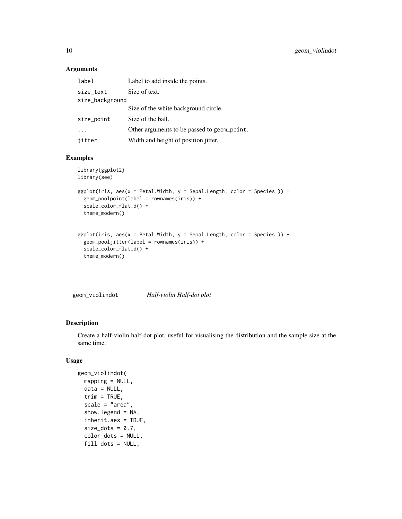<span id="page-9-0"></span>

| label           | Label to add inside the points.             |
|-----------------|---------------------------------------------|
| size_text       | Size of text.                               |
| size_background |                                             |
|                 | Size of the white background circle.        |
| size_point      | Size of the ball.                           |
|                 | Other arguments to be passed to geom_point. |
| jitter          | Width and height of position jitter.        |

## Examples

```
library(ggplot2)
library(see)
ggplot(iris, aes(x = Petal.Width, y = Sepal.Length, color = Species )) +geom_poolpoint(label = rownames(iris)) +
  scale_color_flat_d() +
  theme_modern()
ggplot(iris, aes(x = Petal.Width, y = Sepal.Length, color = Species)) +geom_pooljitter(label = rownames(iris)) +
  scale_color_flat_d() +
  theme_modern()
```
geom\_violindot *Half-violin Half-dot plot*

# Description

Create a half-violin half-dot plot, useful for visualising the distribution and the sample size at the same time.

```
geom_violindot(
  mapping = NULL,
  data = NULL,
  trim = TRUE,
  scale = "area",
  show.legend = NA,
  inherit.aes = TRUE,
  size\_dots = 0.7,
  color_dots = NULL,
  fill_dots = NULL,
```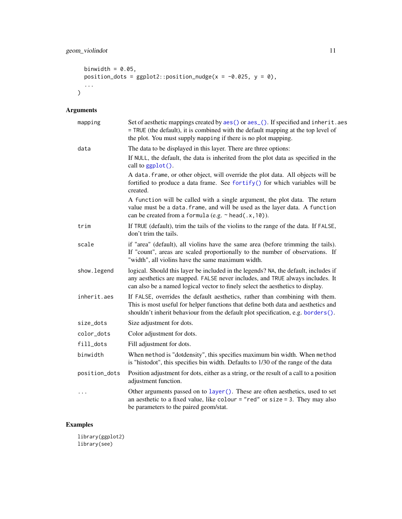```
binwidth = 0.05,
 position_dots = gphot2::position\_nudge(x = -0.025, y = 0),...
\mathcal{L}
```

| mapping       | Set of aesthetic mappings created by aes() or aes_(). If specified and inherit.aes<br>= TRUE (the default), it is combined with the default mapping at the top level of<br>the plot. You must supply mapping if there is no plot mapping.              |
|---------------|--------------------------------------------------------------------------------------------------------------------------------------------------------------------------------------------------------------------------------------------------------|
| data          | The data to be displayed in this layer. There are three options:                                                                                                                                                                                       |
|               | If NULL, the default, the data is inherited from the plot data as specified in the<br>call to ggplot().                                                                                                                                                |
|               | A data. frame, or other object, will override the plot data. All objects will be<br>fortified to produce a data frame. See fortify() for which variables will be<br>created.                                                                           |
|               | A function will be called with a single argument, the plot data. The return<br>value must be a data. frame, and will be used as the layer data. A function<br>can be created from a formula (e.g. $\sim$ head(.x, 10)).                                |
| trim          | If TRUE (default), trim the tails of the violins to the range of the data. If FALSE,<br>don't trim the tails.                                                                                                                                          |
| scale         | if "area" (default), all violins have the same area (before trimming the tails).<br>If "count", areas are scaled proportionally to the number of observations. If<br>"width", all violins have the same maximum width.                                 |
| show.legend   | logical. Should this layer be included in the legends? NA, the default, includes if<br>any aesthetics are mapped. FALSE never includes, and TRUE always includes. It<br>can also be a named logical vector to finely select the aesthetics to display. |
| inherit.aes   | If FALSE, overrides the default aesthetics, rather than combining with them.<br>This is most useful for helper functions that define both data and aesthetics and<br>shouldn't inherit behaviour from the default plot specification, e.g. borders().  |
| size_dots     | Size adjustment for dots.                                                                                                                                                                                                                              |
| color_dots    | Color adjustment for dots.                                                                                                                                                                                                                             |
| fill_dots     | Fill adjustment for dots.                                                                                                                                                                                                                              |
| binwidth      | When method is "dotdensity", this specifies maximum bin width. When method<br>is "histodot", this specifies bin width. Defaults to 1/30 of the range of the data                                                                                       |
| position_dots | Position adjustment for dots, either as a string, or the result of a call to a position<br>adjustment function.                                                                                                                                        |
| $\cdots$      | Other arguments passed on to layer (). These are often aesthetics, used to set<br>an aesthetic to a fixed value, like colour = "red" or size = 3. They may also<br>be parameters to the paired geom/stat.                                              |

# Examples

library(ggplot2) library(see)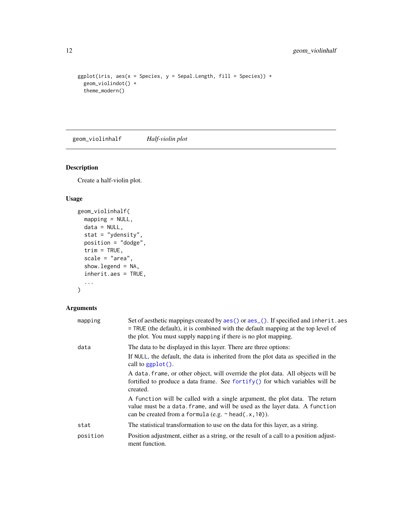```
ggplot(iris, aes(x = Species, y = Separ.Length, fill = Species)) +geom_violindot() +
 theme_modern()
```
geom\_violinhalf *Half-violin plot*

## Description

Create a half-violin plot.

# Usage

```
geom_violinhalf(
 mapping = NULL,
 data = NULL,stat = "ydensity",
 position = "dodge",
 trim = TRUE,scale = "area",
  show.legend = NA,
  inherit.aes = TRUE,
  ...
\mathcal{L}
```
## Arguments

| mapping  | Set of aesthetic mappings created by aes () or aes (). If specified and inherit. aes<br>= TRUE (the default), it is combined with the default mapping at the top level of<br>the plot. You must supply mapping if there is no plot mapping. |
|----------|---------------------------------------------------------------------------------------------------------------------------------------------------------------------------------------------------------------------------------------------|
| data     | The data to be displayed in this layer. There are three options:                                                                                                                                                                            |
|          | If NULL, the default, the data is inherited from the plot data as specified in the<br>call to $ggplot()$ .                                                                                                                                  |
|          | A data frame, or other object, will override the plot data. All objects will be<br>fortified to produce a data frame. See fortify() for which variables will be<br>created.                                                                 |
|          | A function will be called with a single argument, the plot data. The return<br>value must be a data. frame, and will be used as the layer data. A function<br>can be created from a formula (e.g. $\sim$ head(.x, 10)).                     |
| stat     | The statistical transformation to use on the data for this layer, as a string.                                                                                                                                                              |
| position | Position adjustment, either as a string, or the result of a call to a position adjust-<br>ment function.                                                                                                                                    |

<span id="page-11-0"></span>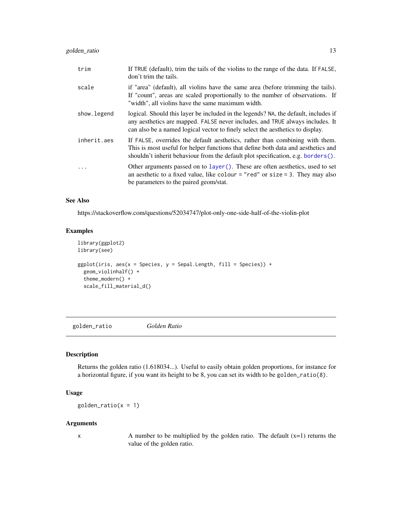<span id="page-12-0"></span>

| trim        | If TRUE (default), trim the tails of the violins to the range of the data. If FALSE,<br>don't trim the tails.                                                                                                                                             |
|-------------|-----------------------------------------------------------------------------------------------------------------------------------------------------------------------------------------------------------------------------------------------------------|
| scale       | if "area" (default), all violins have the same area (before trimming the tails).<br>If "count", areas are scaled proportionally to the number of observations. If<br>"width", all violins have the same maximum width.                                    |
| show.legend | logical. Should this layer be included in the legends? NA, the default, includes if<br>any aesthetics are mapped. FALSE never includes, and TRUE always includes. It<br>can also be a named logical vector to finely select the aesthetics to display.    |
| inherit.aes | If FALSE, overrides the default aesthetics, rather than combining with them.<br>This is most useful for helper functions that define both data and aesthetics and<br>shouldn't inherit behaviour from the default plot specification, e.g. borders $()$ . |
|             | Other arguments passed on to layer(). These are often aesthetics, used to set<br>an aesthetic to a fixed value, like colour = "red" or size = 3. They may also<br>be parameters to the paired geom/stat.                                                  |

#### See Also

https://stackoverflow.com/questions/52034747/plot-only-one-side-half-of-the-violin-plot

#### Examples

```
library(ggplot2)
library(see)
ggplot(iris, aes(x = Species, y = Separ.Length, fill = Species)) +geom_violinhalf() +
  theme_modern() +
  scale_fill_material_d()
```
golden\_ratio *Golden Ratio*

#### Description

Returns the golden ratio (1.618034...). Useful to easily obtain golden proportions, for instance for a horizontal figure, if you want its height to be 8, you can set its width to be golden\_ratio(8).

# Usage

 $g$ olden\_ratio(x = 1)

#### Arguments

 $x$  A number to be multiplied by the golden ratio. The default  $(x=1)$  returns the value of the golden ratio.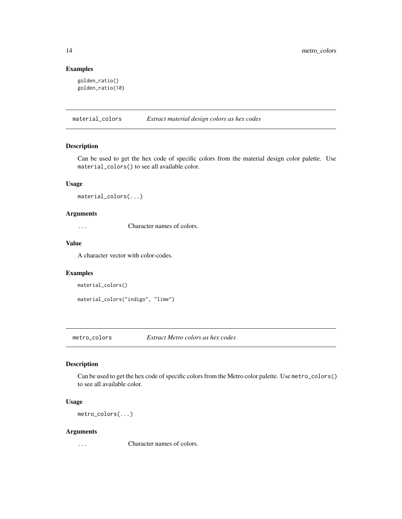#### Examples

```
golden_ratio()
golden_ratio(10)
```
material\_colors *Extract material design colors as hex codes*

## Description

Can be used to get the hex code of specific colors from the material design color palette. Use material\_colors() to see all available color.

## Usage

```
material_colors(...)
```
#### Arguments

... Character names of colors.

#### Value

A character vector with color-codes.

#### Examples

```
material_colors()
```

```
material_colors("indigo", "lime")
```
metro\_colors *Extract Metro colors as hex codes*

# Description

Can be used to get the hex code of specific colors from the Metro color palette. Use metro\_colors() to see all available color.

## Usage

metro\_colors(...)

#### Arguments

... Character names of colors.

<span id="page-13-0"></span>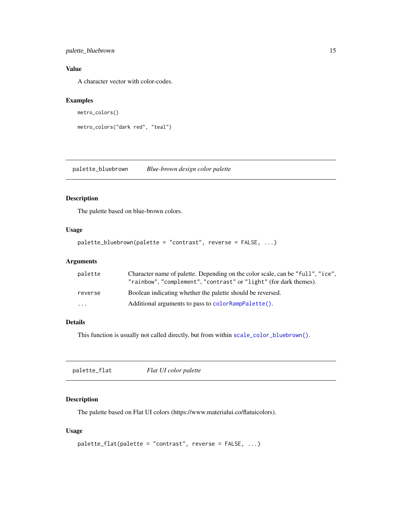## <span id="page-14-0"></span>palette\_bluebrown 15

# Value

A character vector with color-codes.

#### Examples

```
metro_colors()
```

```
metro_colors("dark red", "teal")
```
palette\_bluebrown *Blue-brown design color palette*

# Description

The palette based on blue-brown colors.

#### Usage

```
palette_bluebrown(palette = "contrast", reverse = FALSE, ...)
```
## Arguments

| palette | Character name of palette. Depending on the color scale, can be "full", "ice",<br>"rainbow", "complement", "contrast" or "light" (for dark themes). |
|---------|-----------------------------------------------------------------------------------------------------------------------------------------------------|
| reverse | Boolean indicating whether the palette should be reversed.                                                                                          |
| .       | Additional arguments to pass to color RampPalette().                                                                                                |

# Details

This function is usually not called directly, but from within [scale\\_color\\_bluebrown\(\)](#page-48-1).

| palette_flat | Flat UI color palette |  |
|--------------|-----------------------|--|
|              |                       |  |

## Description

The palette based on Flat UI colors (https://www.materialui.co/flatuicolors).

```
palette_flat(palette = "contrast", reverse = FALSE, ...)
```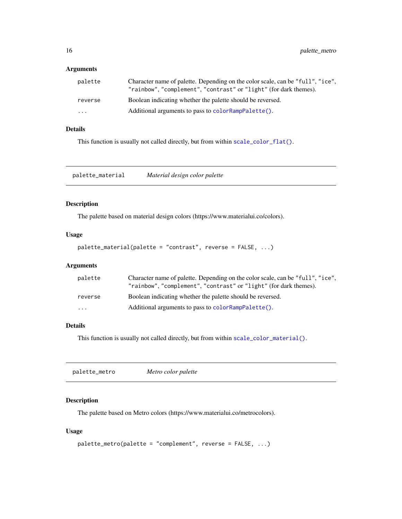<span id="page-15-0"></span>

| palette | Character name of palette. Depending on the color scale, can be "full", "ice",<br>"rainbow", "complement", "contrast" or "light" (for dark themes). |
|---------|-----------------------------------------------------------------------------------------------------------------------------------------------------|
| reverse | Boolean indicating whether the palette should be reversed.                                                                                          |
| .       | Additional arguments to pass to color RampPalette().                                                                                                |

#### Details

This function is usually not called directly, but from within [scale\\_color\\_flat\(\)](#page-50-1).

palette\_material *Material design color palette*

#### Description

The palette based on material design colors (https://www.materialui.co/colors).

#### Usage

```
palette_material(palette = "contrast", reverse = FALSE, ...)
```
## Arguments

| palette | Character name of palette. Depending on the color scale, can be "full", "ice".<br>"rainbow", "complement", "contrast" or "light" (for dark themes). |
|---------|-----------------------------------------------------------------------------------------------------------------------------------------------------|
| reverse | Boolean indicating whether the palette should be reversed.                                                                                          |
| .       | Additional arguments to pass to color RampPalette().                                                                                                |

#### Details

This function is usually not called directly, but from within [scale\\_color\\_material\(\)](#page-52-1).

|--|

#### Description

The palette based on Metro colors (https://www.materialui.co/metrocolors).

```
palette_metro(palette = "complement", reverse = FALSE, ...)
```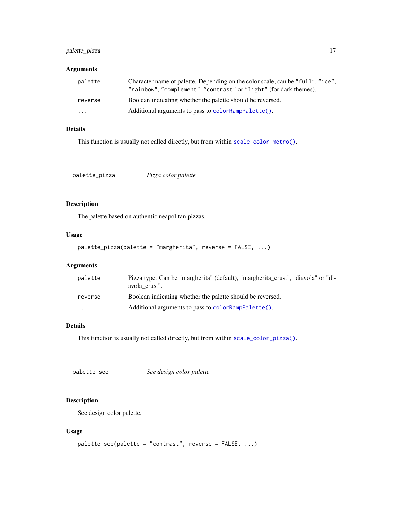## <span id="page-16-0"></span>palette\_pizza 17

#### Arguments

| palette | Character name of palette. Depending on the color scale, can be "full", "ice".<br>"rainbow", "complement", "contrast" or "light" (for dark themes). |
|---------|-----------------------------------------------------------------------------------------------------------------------------------------------------|
| reverse | Boolean indicating whether the palette should be reversed.                                                                                          |
| $\cdot$ | Additional arguments to pass to color RampPalette().                                                                                                |

# Details

This function is usually not called directly, but from within [scale\\_color\\_metro\(\)](#page-54-1).

palette\_pizza *Pizza color palette*

## Description

The palette based on authentic neapolitan pizzas.

#### Usage

```
palette_pizza(palette = "margherita", reverse = FALSE, ...)
```
## Arguments

| palette  | Pizza type. Can be "margherita" (default), "margherita_crust", "diavola" or "di-<br>avola crust". |
|----------|---------------------------------------------------------------------------------------------------|
| reverse  | Boolean indicating whether the palette should be reversed.                                        |
| $\cdots$ | Additional arguments to pass to color RampPalette().                                              |

#### Details

This function is usually not called directly, but from within [scale\\_color\\_pizza\(\)](#page-56-1).

| palette_see | See design color palette |
|-------------|--------------------------|
|-------------|--------------------------|

# Description

See design color palette.

```
palette_see(palette = "contrast", reverse = FALSE, ...)
```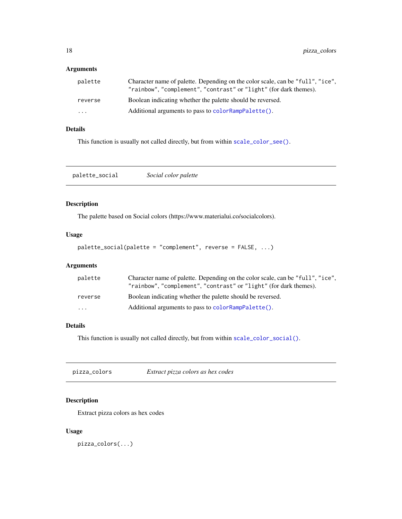<span id="page-17-0"></span>

| palette  | Character name of palette. Depending on the color scale, can be "full", "ice",<br>"rainbow", "complement", "contrast" or "light" (for dark themes). |
|----------|-----------------------------------------------------------------------------------------------------------------------------------------------------|
| reverse  | Boolean indicating whether the palette should be reversed.                                                                                          |
| $\cdots$ | Additional arguments to pass to color RampPalette().                                                                                                |

# Details

This function is usually not called directly, but from within [scale\\_color\\_see\(\)](#page-58-1).

palette\_social *Social color palette*

## Description

The palette based on Social colors (https://www.materialui.co/socialcolors).

#### Usage

```
palette_social(palette = "complement", reverse = FALSE, ...)
```
## Arguments

| palette  | Character name of palette. Depending on the color scale, can be "full", "ice",<br>"rainbow", "complement", "contrast" or "light" (for dark themes). |
|----------|-----------------------------------------------------------------------------------------------------------------------------------------------------|
| reverse  | Boolean indicating whether the palette should be reversed.                                                                                          |
| $\cdots$ | Additional arguments to pass to color RampPalette().                                                                                                |

#### Details

This function is usually not called directly, but from within [scale\\_color\\_social\(\)](#page-59-1).

| pizza_colors | Extract pizza colors as hex codes |  |
|--------------|-----------------------------------|--|
|--------------|-----------------------------------|--|

# Description

Extract pizza colors as hex codes

#### Usage

pizza\_colors(...)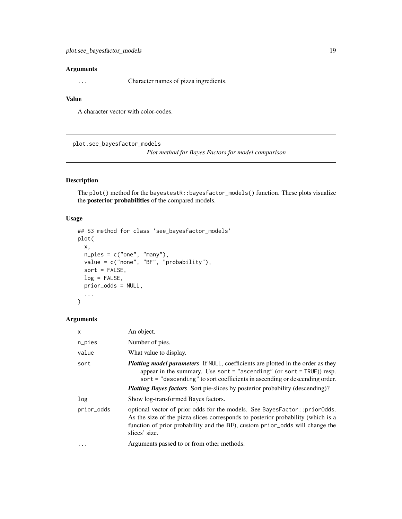<span id="page-18-0"></span>... Character names of pizza ingredients.

#### Value

A character vector with color-codes.

<span id="page-18-1"></span>plot.see\_bayesfactor\_models

*Plot method for Bayes Factors for model comparison*

## Description

The plot() method for the bayestestR::bayesfactor\_models() function. These plots visualize the posterior probabilities of the compared models.

#### Usage

```
## S3 method for class 'see_bayesfactor_models'
plot(
 x,
 n_pies = c("one", "many"),
 value = c("none", "BF", "probability"),
  sort = FALSE,
 log = FALSE,
 prior_odds = NULL,
  ...
\mathcal{L}
```
#### Arguments

| $\mathsf{x}$ | An object.                                                                                                                                                                                                                                                      |
|--------------|-----------------------------------------------------------------------------------------------------------------------------------------------------------------------------------------------------------------------------------------------------------------|
| n_pies       | Number of pies.                                                                                                                                                                                                                                                 |
| value        | What value to display.                                                                                                                                                                                                                                          |
| sort         | <b>Plotting model parameters</b> If NULL, coefficients are plotted in the order as they<br>appear in the summary. Use sort = "ascending" (or sort = $TRUE$ )) resp.<br>sort = "descending" to sort coefficients in ascending or descending order.               |
|              | <b>Plotting Bayes factors</b> Sort pie-slices by posterior probability (descending)?                                                                                                                                                                            |
| log          | Show log-transformed Bayes factors.                                                                                                                                                                                                                             |
| prior_odds   | optional vector of prior odds for the models. See BayesFactor:: priorOdds.<br>As the size of the pizza slices corresponds to posterior probability (which is a<br>function of prior probability and the BF), custom prior_odds will change the<br>slices' size. |
| $\ddots$ .   | Arguments passed to or from other methods.                                                                                                                                                                                                                      |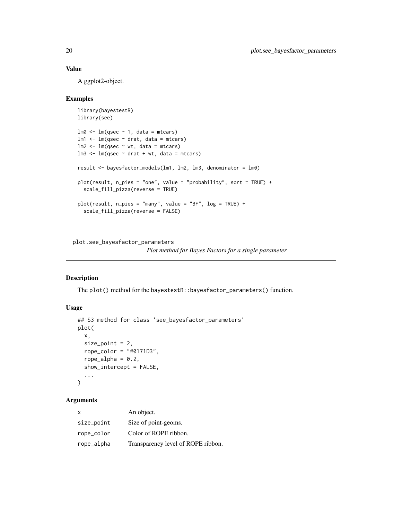#### <span id="page-19-0"></span>Value

A ggplot2-object.

#### Examples

```
library(bayestestR)
library(see)
lm0 \leftarrow lm(qsec \sim 1, data = mtcars)lm1 < - lm(qsec ~ valt, data = mtcars)
lm2 < - lm(qsec ~ wt, data = mtcars)lm3 \leq lm(qsec \sim drat + wt, data = mtcars)result <- bayesfactor_models(lm1, lm2, lm3, denominator = lm0)
plot(result, n_pies = "one", value = "probability", sort = TRUE) +
  scale_fill_pizza(reverse = TRUE)
plot(result, n_pies = "many", value = "BF", log = TRUE) +
  scale_fill_pizza(reverse = FALSE)
```
<span id="page-19-1"></span>plot.see\_bayesfactor\_parameters *Plot method for Bayes Factors for a single parameter*

#### Description

The plot() method for the bayestestR::bayesfactor\_parameters() function.

#### Usage

```
## S3 method for class 'see_bayesfactor_parameters'
plot(
 x,
  size\_point = 2,
  rope_color = "#0171D3",
  rope_alpha = 0.2,
  show_intercept = FALSE,
  ...
\mathcal{L}
```
## Arguments

| X          | An object.                         |
|------------|------------------------------------|
| size_point | Size of point-geoms.               |
| rope_color | Color of ROPE ribbon.              |
| rope_alpha | Transparency level of ROPE ribbon. |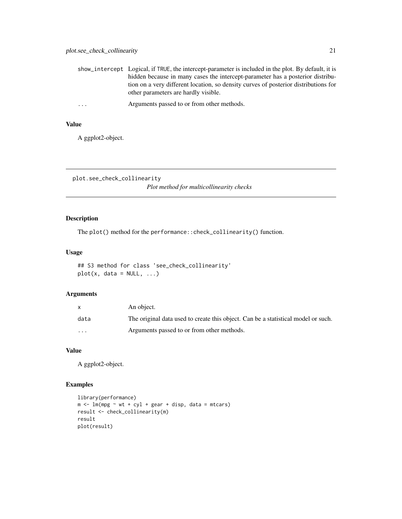<span id="page-20-0"></span>

|          | show_intercept Logical, if TRUE, the intercept-parameter is included in the plot. By default, it is                         |
|----------|-----------------------------------------------------------------------------------------------------------------------------|
|          | hidden because in many cases the intercept-parameter has a posterior distribu-                                              |
|          | tion on a very different location, so density curves of posterior distributions for<br>other parameters are hardly visible. |
| $\cdots$ | Arguments passed to or from other methods.                                                                                  |

# Value

A ggplot2-object.

<span id="page-20-1"></span>plot.see\_check\_collinearity *Plot method for multicollinearity checks*

# Description

The plot() method for the performance::check\_collinearity() function.

#### Usage

## S3 method for class 'see\_check\_collinearity'  $plot(x, data = NULL, ...)$ 

#### Arguments

|          | An object.                                                                        |
|----------|-----------------------------------------------------------------------------------|
| data     | The original data used to create this object. Can be a statistical model or such. |
| $\cdots$ | Arguments passed to or from other methods.                                        |

# Value

A ggplot2-object.

## Examples

```
library(performance)
m <- lm(mpg \sim wt + cyl + gear + disp, data = mtcars)result <- check_collinearity(m)
result
plot(result)
```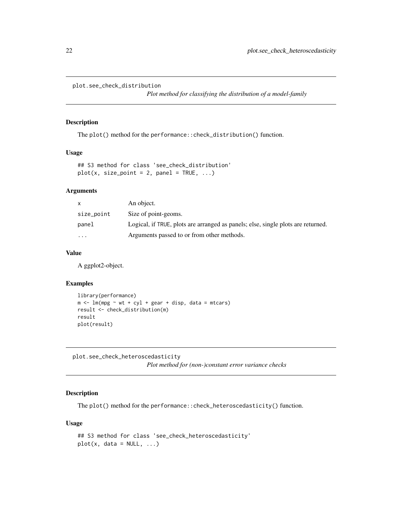```
plot.see_check_distribution
```
*Plot method for classifying the distribution of a model-family*

#### Description

The plot() method for the performance::check\_distribution() function.

#### Usage

```
## S3 method for class 'see_check_distribution'
plot(x, size\_point = 2, panel = TRUE, ...)
```
#### Arguments

| X          | An object.                                                                       |
|------------|----------------------------------------------------------------------------------|
| size_point | Size of point-geoms.                                                             |
| panel      | Logical, if TRUE, plots are arranged as panels; else, single plots are returned. |
| $\cdots$   | Arguments passed to or from other methods.                                       |

#### Value

A ggplot2-object.

#### Examples

```
library(performance)
m \leq -\ln(mpg \sim wt + cyl + gear + disp, data = mtcars)result <- check_distribution(m)
result
plot(result)
```
<span id="page-21-1"></span>plot.see\_check\_heteroscedasticity *Plot method for (non-)constant error variance checks*

#### Description

The plot() method for the performance::check\_heteroscedasticity() function.

```
## S3 method for class 'see_check_heteroscedasticity'
plot(x, data = NULL, ...)
```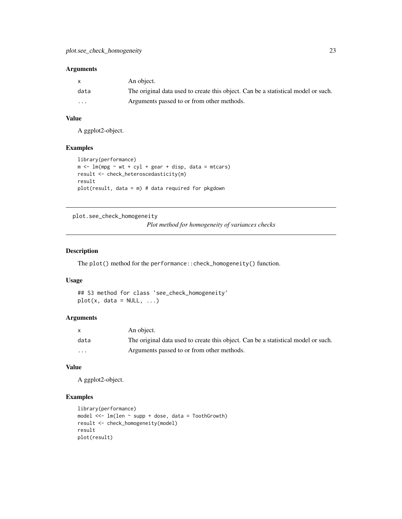<span id="page-22-0"></span>

| $\mathsf{x}$ | An object.                                                                        |
|--------------|-----------------------------------------------------------------------------------|
| data         | The original data used to create this object. Can be a statistical model or such. |
| $\cdots$     | Arguments passed to or from other methods.                                        |

#### Value

A ggplot2-object.

## Examples

```
library(performance)
m \le - \ln(mpg \sim wt + cyl + gear + disp, data = mtcars)result <- check_heteroscedasticity(m)
result
plot(result, data = m) # data required for pkgdown
```
<span id="page-22-1"></span>plot.see\_check\_homogeneity

*Plot method for homogeneity of variances checks*

#### Description

The plot() method for the performance::check\_homogeneity() function.

#### Usage

## S3 method for class 'see\_check\_homogeneity'  $plot(x, data = NULL, ...)$ 

#### Arguments

|                         | An object.                                                                        |
|-------------------------|-----------------------------------------------------------------------------------|
| data                    | The original data used to create this object. Can be a statistical model or such. |
| $\cdot$ $\cdot$ $\cdot$ | Arguments passed to or from other methods.                                        |

# Value

A ggplot2-object.

#### Examples

```
library(performance)
model <<- lm(len ~ supp + dose, data = ToothGrowth)
result <- check_homogeneity(model)
result
plot(result)
```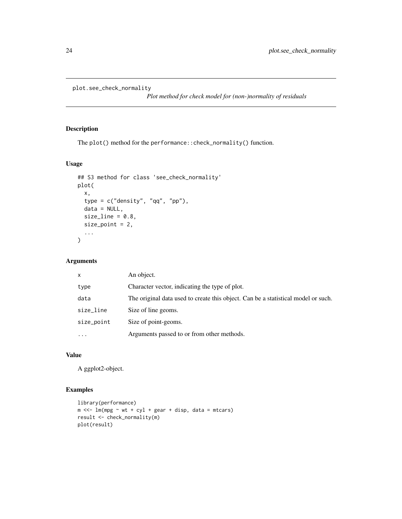```
plot.see_check_normality
```
*Plot method for check model for (non-)normality of residuals*

## Description

The plot() method for the performance::check\_normality() function.

#### Usage

```
## S3 method for class 'see_check_normality'
plot(
  x,
  type = c("density", "qq", "pp"),
  data = NULL,size\_line = 0.8,
  size\_point = 2,
  ...
)
```
#### Arguments

| $\mathsf{x}$ | An object.                                                                        |
|--------------|-----------------------------------------------------------------------------------|
| type         | Character vector, indicating the type of plot.                                    |
| data         | The original data used to create this object. Can be a statistical model or such. |
| size_line    | Size of line geoms.                                                               |
| size_point   | Size of point-geoms.                                                              |
| $\ddotsc$    | Arguments passed to or from other methods.                                        |

# Value

A ggplot2-object.

# Examples

```
library(performance)
m \ll - \ln(mpg \sim wt + cyl + gear + disp, data = mtcars)result <- check_normality(m)
plot(result)
```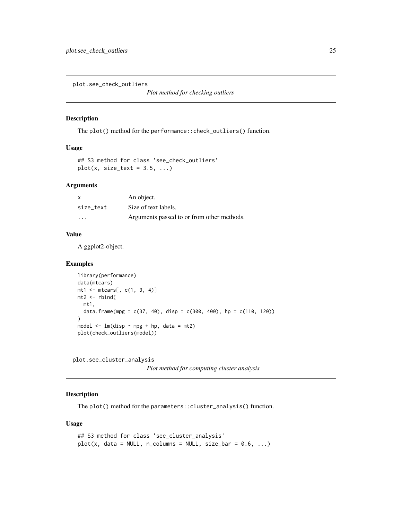<span id="page-24-2"></span><span id="page-24-0"></span>plot.see\_check\_outliers

*Plot method for checking outliers*

## Description

The plot() method for the performance::check\_outliers() function.

#### Usage

```
## S3 method for class 'see_check_outliers'
plot(x, size_test = 3.5, ...)
```
#### Arguments

| x         | An object.                                 |
|-----------|--------------------------------------------|
| size text | Size of text labels.                       |
| $\cdot$   | Arguments passed to or from other methods. |

#### Value

A ggplot2-object.

#### Examples

```
library(performance)
data(mtcars)
mt1 <- mtcars[, c(1, 3, 4)]
mt2 < -rbind(
  mt1,
  data.frame(mpg = c(37, 40), disp = c(300, 400), hp = c(110, 120))
)
model \leq lm(disp \sim mpg + hp, data = mt2)
plot(check_outliers(model))
```
<span id="page-24-1"></span>plot.see\_cluster\_analysis

*Plot method for computing cluster analysis*

#### Description

The plot() method for the parameters::cluster\_analysis() function.

```
## S3 method for class 'see_cluster_analysis'
plot(x, data = NULL, n_{collums} = NULL, size\_bar = 0.6, ...)
```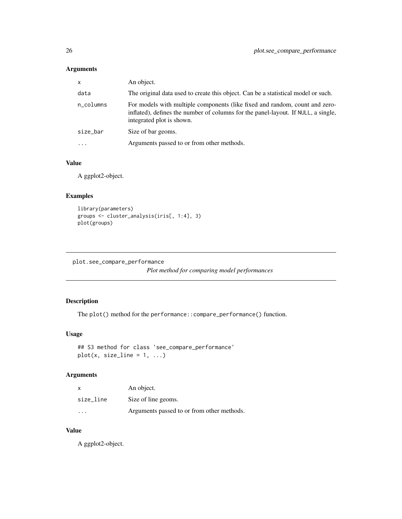<span id="page-25-0"></span>

| $\mathsf{x}$ | An object.                                                                                                                                                                                    |
|--------------|-----------------------------------------------------------------------------------------------------------------------------------------------------------------------------------------------|
| data         | The original data used to create this object. Can be a statistical model or such.                                                                                                             |
| n_columns    | For models with multiple components (like fixed and random, count and zero-<br>inflated), defines the number of columns for the panel-layout. If NULL, a single,<br>integrated plot is shown. |
| size_bar     | Size of bar geoms.                                                                                                                                                                            |
| $\ddotsc$    | Arguments passed to or from other methods.                                                                                                                                                    |

# Value

A ggplot2-object.

## Examples

```
library(parameters)
groups <- cluster_analysis(iris[, 1:4], 3)
plot(groups)
```

```
plot.see_compare_performance
```
*Plot method for comparing model performances*

## Description

The plot() method for the performance::compare\_performance() function.

#### Usage

```
## S3 method for class 'see_compare_performance'
plot(x, size_{line} = 1, ...)
```
# Arguments

| x                       | An object.                                 |
|-------------------------|--------------------------------------------|
| size line               | Size of line geoms.                        |
| $\cdot$ $\cdot$ $\cdot$ | Arguments passed to or from other methods. |

#### Value

A ggplot2-object.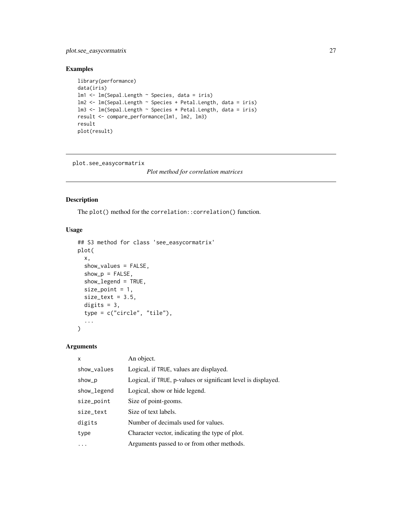<span id="page-26-0"></span>plot.see\_easycormatrix 27

#### Examples

```
library(performance)
data(iris)
lm1 <- lm(Sepal.Length ~ Species, data = iris)
lm2 <- lm(Sepal.Length ~ Species + Petal.Length, data = iris)
lm3 <- lm(Sepal.Length ~ Species * Petal.Length, data = iris)
result <- compare_performance(lm1, lm2, lm3)
result
plot(result)
```
<span id="page-26-1"></span>plot.see\_easycormatrix

*Plot method for correlation matrices*

#### Description

The plot() method for the correlation::correlation() function.

#### Usage

```
## S3 method for class 'see_easycormatrix'
plot(
  x,
  show_values = FALSE,
  show_p = FALSE,show_legend = TRUE,
  size\_point = 1,
  size\_text = 3.5,
 digits = 3,
  type = c("circle", "tile"),
  ...
\mathcal{L}
```
## Arguments

| Logical, if TRUE, values are displayed.<br>show_values                  |  |
|-------------------------------------------------------------------------|--|
| Logical, if TRUE, p-values or significant level is displayed.<br>show_p |  |
| Logical, show or hide legend.<br>show_legend                            |  |
| Size of point-geoms.<br>size_point                                      |  |
| Size of text labels.<br>size_text                                       |  |
| Number of decimals used for values.<br>digits                           |  |
| Character vector, indicating the type of plot.<br>type                  |  |
| Arguments passed to or from other methods.                              |  |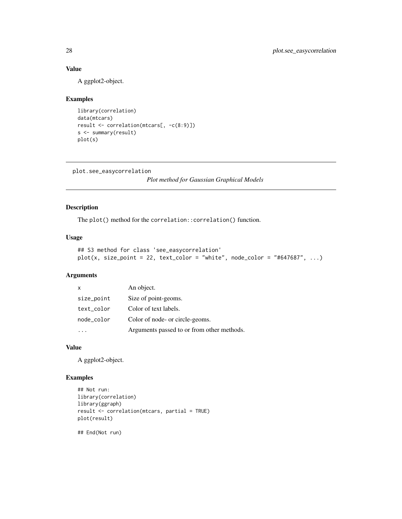# Value

A ggplot2-object.

#### Examples

```
library(correlation)
data(mtcars)
result <- correlation(mtcars[, -c(8:9)])
s <- summary(result)
plot(s)
```

```
plot.see_easycorrelation
```
*Plot method for Gaussian Graphical Models*

## Description

The plot() method for the correlation::correlation() function.

## Usage

```
## S3 method for class 'see_easycorrelation'
plot(x, size_point = 22, text_color = "white", node_color = "#647687", ...)
```
#### Arguments

| X          | An object.                                 |
|------------|--------------------------------------------|
| size_point | Size of point-geoms.                       |
| text_color | Color of text labels.                      |
| node_color | Color of node- or circle-geoms.            |
|            | Arguments passed to or from other methods. |

#### Value

A ggplot2-object.

## Examples

```
## Not run:
library(correlation)
library(ggraph)
result <- correlation(mtcars, partial = TRUE)
plot(result)
```
## End(Not run)

<span id="page-27-0"></span>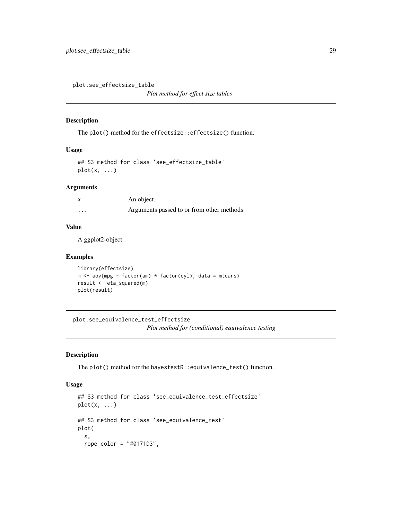<span id="page-28-2"></span><span id="page-28-0"></span>plot.see\_effectsize\_table

*Plot method for effect size tables*

#### Description

The plot() method for the effectsize::effectsize() function.

#### Usage

## S3 method for class 'see\_effectsize\_table'  $plot(x, \ldots)$ 

## Arguments

|          | An object.                                 |
|----------|--------------------------------------------|
| $\cdots$ | Arguments passed to or from other methods. |

# Value

A ggplot2-object.

#### Examples

```
library(effectsize)
m \leq -\text{av}(mpg \sim \text{factor}(am) \times \text{factor}(cyl), \text{ data} = \text{mtcars})result <- eta_squared(m)
plot(result)
```
plot.see\_equivalence\_test\_effectsize

*Plot method for (conditional) equivalence testing*

#### <span id="page-28-1"></span>Description

The plot() method for the bayestestR::equivalence\_test() function.

```
## S3 method for class 'see_equivalence_test_effectsize'
plot(x, \ldots)## S3 method for class 'see_equivalence_test'
plot(
  x,
  rope_color = "#0171D3",
```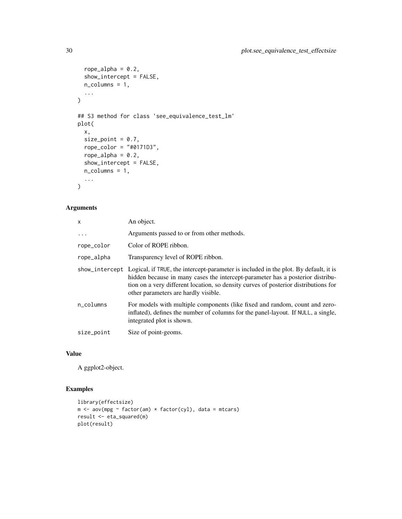```
rope_alpha = 0.2,
  show_intercept = FALSE,
 n_columns = 1,
  ...
\mathcal{L}## S3 method for class 'see_equivalence_test_lm'
plot(
 x,
 size_point = 0.7,
 rope_color = "#0171D3",
 rope_alpha = 0.2,
 show_intercept = FALSE,
 n_columns = 1,
  ...
\mathcal{L}
```

| X          | An object.                                                                                                                                                                                                                                                                                                           |
|------------|----------------------------------------------------------------------------------------------------------------------------------------------------------------------------------------------------------------------------------------------------------------------------------------------------------------------|
| $\cdots$   | Arguments passed to or from other methods.                                                                                                                                                                                                                                                                           |
| rope_color | Color of ROPE ribbon.                                                                                                                                                                                                                                                                                                |
| rope_alpha | Transparency level of ROPE ribbon.                                                                                                                                                                                                                                                                                   |
|            | show_intercept Logical, if TRUE, the intercept-parameter is included in the plot. By default, it is<br>hidden because in many cases the intercept-parameter has a posterior distribu-<br>tion on a very different location, so density curves of posterior distributions for<br>other parameters are hardly visible. |
| n_columns  | For models with multiple components (like fixed and random, count and zero-<br>inflated), defines the number of columns for the panel-layout. If NULL, a single,<br>integrated plot is shown.                                                                                                                        |
| size_point | Size of point-geoms.                                                                                                                                                                                                                                                                                                 |

# Value

A ggplot2-object.

# Examples

```
library(effectsize)
m <- aov(mpg ~ factor(am) * factor(cyl), data = mtcars)
result <- eta_squared(m)
plot(result)
```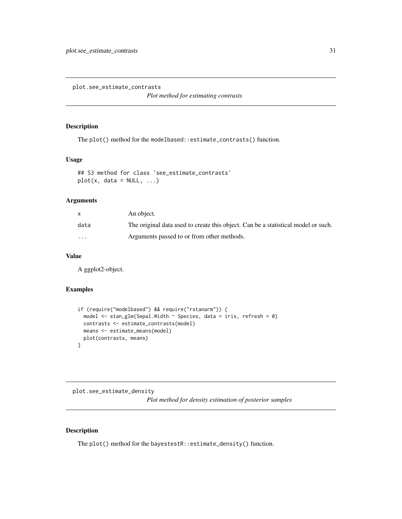<span id="page-30-2"></span><span id="page-30-0"></span>plot.see\_estimate\_contrasts

*Plot method for estimating contrasts*

#### Description

The plot() method for the modelbased::estimate\_contrasts() function.

#### Usage

```
## S3 method for class 'see_estimate_contrasts'
plot(x, data = NULL, ...)
```
#### Arguments

|          | An object.                                                                        |
|----------|-----------------------------------------------------------------------------------|
| data     | The original data used to create this object. Can be a statistical model or such. |
| $\cdots$ | Arguments passed to or from other methods.                                        |

## Value

A ggplot2-object.

#### Examples

```
if (require("modelbased") && require("rstanarm")) {
 model \le stan_glm(Sepal.Width \sim Species, data = iris, refresh = 0)
 contrasts <- estimate_contrasts(model)
 means <- estimate_means(model)
 plot(contrasts, means)
}
```
<span id="page-30-1"></span>plot.see\_estimate\_density *Plot method for density estimation of posterior samples*

#### Description

The plot() method for the bayestestR::estimate\_density() function.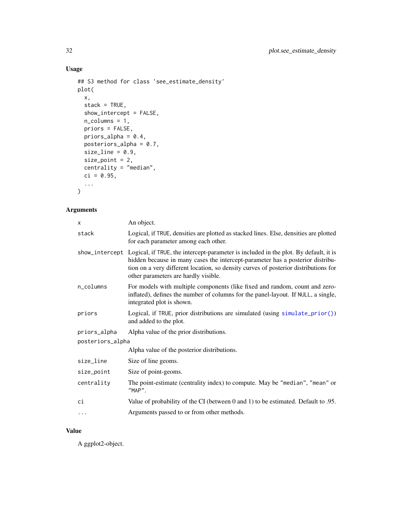# Usage

```
## S3 method for class 'see_estimate_density'
plot(
  x,
  stack = TRUE,
  show_intercept = FALSE,
  n_columns = 1,
  priors = FALSE,
  priors_alpha = 0.4,
  posteriors_alpha = 0.7,
  size_line = 0.9,
  size_point = 2,
  centrality = "median",
  ci = 0.95,...
\mathcal{L}
```
## Arguments

| X                       | An object.                                                                                                                                                                                                                                                                                                           |  |  |
|-------------------------|----------------------------------------------------------------------------------------------------------------------------------------------------------------------------------------------------------------------------------------------------------------------------------------------------------------------|--|--|
| stack                   | Logical, if TRUE, densities are plotted as stacked lines. Else, densities are plotted<br>for each parameter among each other.                                                                                                                                                                                        |  |  |
|                         | show_intercept Logical, if TRUE, the intercept-parameter is included in the plot. By default, it is<br>hidden because in many cases the intercept-parameter has a posterior distribu-<br>tion on a very different location, so density curves of posterior distributions for<br>other parameters are hardly visible. |  |  |
| $n_{\rm \perp}$ columns | For models with multiple components (like fixed and random, count and zero-<br>inflated), defines the number of columns for the panel-layout. If NULL, a single,<br>integrated plot is shown.                                                                                                                        |  |  |
| priors                  | Logical, if TRUE, prior distributions are simulated (using simulate_prior())<br>and added to the plot.                                                                                                                                                                                                               |  |  |
| priors_alpha            | Alpha value of the prior distributions.                                                                                                                                                                                                                                                                              |  |  |
| posteriors_alpha        |                                                                                                                                                                                                                                                                                                                      |  |  |
|                         | Alpha value of the posterior distributions.                                                                                                                                                                                                                                                                          |  |  |
| size_line               | Size of line geoms.                                                                                                                                                                                                                                                                                                  |  |  |
| size_point              | Size of point-geoms.                                                                                                                                                                                                                                                                                                 |  |  |
| centrality              | The point-estimate (centrality index) to compute. May be "median", "mean" or<br>"MAP".                                                                                                                                                                                                                               |  |  |
| ci                      | Value of probability of the CI (between 0 and 1) to be estimated. Default to .95.                                                                                                                                                                                                                                    |  |  |
| $\cdot$                 | Arguments passed to or from other methods.                                                                                                                                                                                                                                                                           |  |  |

#### Value

A ggplot2-object.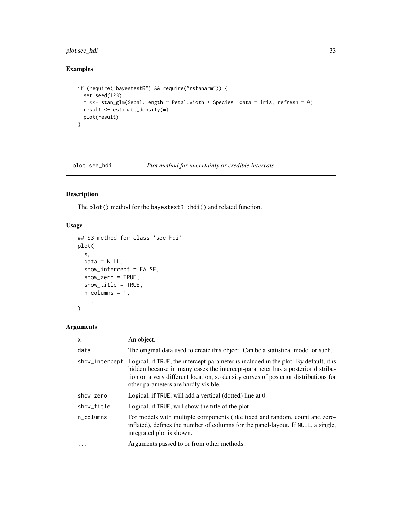## <span id="page-32-0"></span>plot.see\_hdi 33

# Examples

```
if (require("bayestestR") && require("rstanarm")) {
  set.seed(123)
 m <<- stan_glm(Sepal.Length ~ Petal.Width * Species, data = iris, refresh = 0)
 result <- estimate_density(m)
  plot(result)
}
```
<span id="page-32-1"></span>plot.see\_hdi *Plot method for uncertainty or credible intervals*

# Description

The plot() method for the bayestestR::hdi() and related function.

# Usage

```
## S3 method for class 'see_hdi'
plot(
 x,
 data = NULL,
  show_intercept = FALSE,
  show_zero = TRUE,
  show_title = TRUE,
 n_columns = 1,
  ...
)
```
#### Arguments

| $\mathsf{x}$ | An object.                                                                                                                                                                                                                                                                                                           |
|--------------|----------------------------------------------------------------------------------------------------------------------------------------------------------------------------------------------------------------------------------------------------------------------------------------------------------------------|
| data         | The original data used to create this object. Can be a statistical model or such.                                                                                                                                                                                                                                    |
|              | show_intercept Logical, if TRUE, the intercept-parameter is included in the plot. By default, it is<br>hidden because in many cases the intercept-parameter has a posterior distribu-<br>tion on a very different location, so density curves of posterior distributions for<br>other parameters are hardly visible. |
| show_zero    | Logical, if TRUE, will add a vertical (dotted) line at 0.                                                                                                                                                                                                                                                            |
| show_title   | Logical, if TRUE, will show the title of the plot.                                                                                                                                                                                                                                                                   |
| n columns    | For models with multiple components (like fixed and random, count and zero-<br>inflated), defines the number of columns for the panel-layout. If NULL, a single,<br>integrated plot is shown.                                                                                                                        |
| $\ddotsc$    | Arguments passed to or from other methods.                                                                                                                                                                                                                                                                           |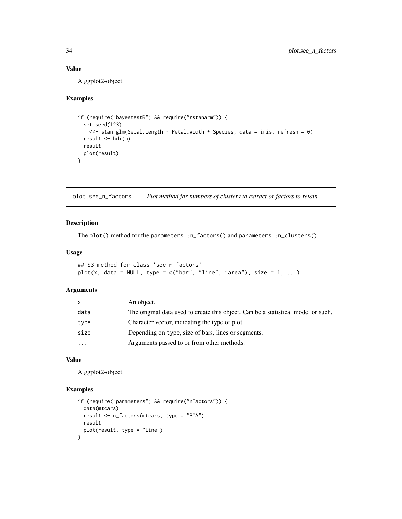# Value

A ggplot2-object.

## Examples

```
if (require("bayestestR") && require("rstanarm")) {
 set.seed(123)
 m <<- stan_glm(Sepal.Length ~ Petal.Width * Species, data = iris, refresh = 0)
 result \leftarrow hdi(m)result
 plot(result)
}
```
<span id="page-33-1"></span>plot.see\_n\_factors *Plot method for numbers of clusters to extract or factors to retain*

## Description

The plot() method for the parameters::n\_factors() and parameters::n\_clusters()

#### Usage

```
## S3 method for class 'see_n_factors'
plot(x, data = NULL, type = c("bar", "line", "area"), size = 1, ...)
```
#### Arguments

| x         | An object.                                                                        |
|-----------|-----------------------------------------------------------------------------------|
| data      | The original data used to create this object. Can be a statistical model or such. |
| type      | Character vector, indicating the type of plot.                                    |
| size      | Depending on type, size of bars, lines or segments.                               |
| $\ddotsc$ | Arguments passed to or from other methods.                                        |

#### Value

A ggplot2-object.

#### Examples

```
if (require("parameters") && require("nFactors")) {
 data(mtcars)
 result <- n_factors(mtcars, type = "PCA")
 result
 plot(result, type = "line")
}
```
<span id="page-33-0"></span>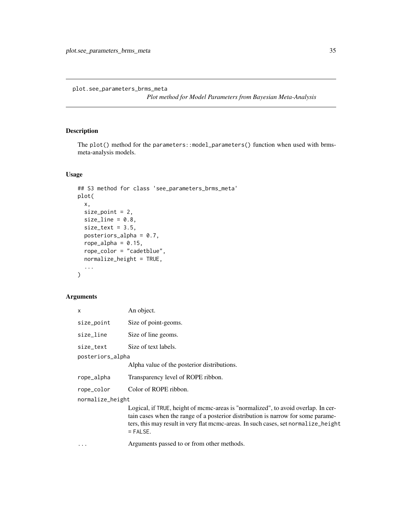<span id="page-34-0"></span>plot.see\_parameters\_brms\_meta

*Plot method for Model Parameters from Bayesian Meta-Analysis*

# Description

The plot() method for the parameters::model\_parameters() function when used with brmsmeta-analysis models.

#### Usage

```
## S3 method for class 'see_parameters_brms_meta'
plot(
 x,
 size_point = 2,
  size\_line = 0.8,
  size\_text = 3.5,posteriors_alpha = 0.7,
  rope_alpha = 0.15,
  rope_color = "cadetblue",
  normalize_height = TRUE,
  ...
\mathcal{L}
```
## Arguments

|                  | x          | An object.                                                                                                                                                                                                                                                                |
|------------------|------------|---------------------------------------------------------------------------------------------------------------------------------------------------------------------------------------------------------------------------------------------------------------------------|
|                  | size_point | Size of point-geoms.                                                                                                                                                                                                                                                      |
|                  | size_line  | Size of line geoms.                                                                                                                                                                                                                                                       |
|                  | size text  | Size of text labels.                                                                                                                                                                                                                                                      |
| posteriors_alpha |            |                                                                                                                                                                                                                                                                           |
|                  |            | Alpha value of the posterior distributions.                                                                                                                                                                                                                               |
|                  | rope_alpha | Transparency level of ROPE ribbon.                                                                                                                                                                                                                                        |
|                  | rope_color | Color of ROPE ribbon.                                                                                                                                                                                                                                                     |
| normalize_height |            |                                                                                                                                                                                                                                                                           |
|                  |            | Logical, if TRUE, height of meme-areas is "normalized", to avoid overlap. In cer-<br>tain cases when the range of a posterior distribution is narrow for some parame-<br>ters, this may result in very flat mcmc-areas. In such cases, set normalize_height<br>$=$ FALSE. |
|                  | .          | Arguments passed to or from other methods.                                                                                                                                                                                                                                |
|                  |            |                                                                                                                                                                                                                                                                           |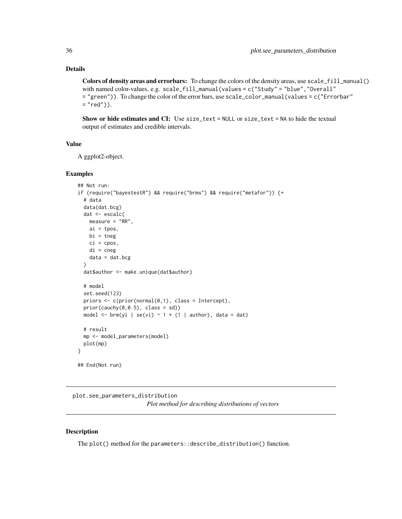#### <span id="page-35-0"></span>Details

Colors of density areas and errorbars: To change the colors of the density areas, use scale\_fill\_manual() with named color-values, e.g. scale\_fill\_manual(values = c("Study" = "blue","Overall" = "green")). To change the color of the error bars, use scale\_color\_manual(values = c("Errorbar"  $=$  "red")).

Show or hide estimates and CI: Use size\_text = NULL or size\_text = NA to hide the textual output of estimates and credible intervals.

# Value

A ggplot2-object.

#### Examples

```
## Not run:
if (require("bayestestR") && require("brms") && require("metafor")) {+
 # data
 data(dat.bcg)
 dat <- escalc(
   measure = "RR",
   ai = tpos,bi = tneg
   ci = cpos,di = cnegdata = dat.bcg\lambdadat$author <- make.unique(dat$author)
 # model
 set.seed(123)
 priors \leq c(prior(normal(0,1), class = Intercept),
 prior(cauchy(0,0.5), class = sd))model <- brm(yi | se(vi) \sim 1 + (1 | author), data = dat)
 # result
 mp <- model_parameters(model)
 plot(mp)
}
## End(Not run)
```
<span id="page-35-1"></span>plot.see\_parameters\_distribution *Plot method for describing distributions of vectors*

#### Description

The plot() method for the parameters::describe\_distribution() function.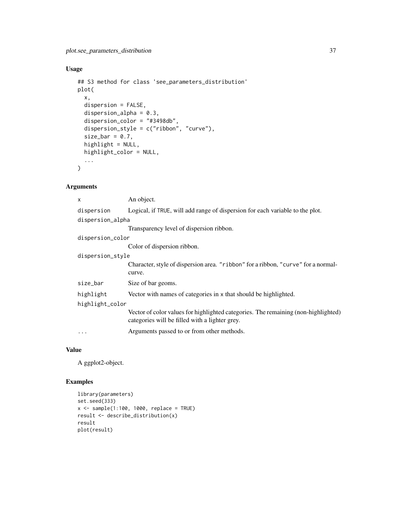# Usage

```
## S3 method for class 'see_parameters_distribution'
plot(
 x,
  dispersion = FALSE,
 dispersion_alpha = 0.3,
  dispersion_color = "#3498db",
  dispersion_style = c("ribbon", "curve"),
  size\_bar = 0.7,
 highlight = NULL,
 highlight_color = NULL,
  ...
\mathcal{L}
```
# Arguments

| An object.                                                                                                                           |  |  |
|--------------------------------------------------------------------------------------------------------------------------------------|--|--|
| Logical, if TRUE, will add range of dispersion for each variable to the plot.                                                        |  |  |
| dispersion_alpha                                                                                                                     |  |  |
| Transparency level of dispersion ribbon.                                                                                             |  |  |
| dispersion_color                                                                                                                     |  |  |
| Color of dispersion ribbon.                                                                                                          |  |  |
| dispersion_style                                                                                                                     |  |  |
| Character, style of dispersion area. "ribbon" for a ribbon, "curve" for a normal-<br>curve.                                          |  |  |
| Size of bar geoms.                                                                                                                   |  |  |
| Vector with names of categories in x that should be highlighted.                                                                     |  |  |
| highlight_color                                                                                                                      |  |  |
| Vector of color values for highlighted categories. The remaining (non-highlighted)<br>categories will be filled with a lighter grey. |  |  |
| Arguments passed to or from other methods.                                                                                           |  |  |
|                                                                                                                                      |  |  |

# Value

A ggplot2-object.

```
library(parameters)
set.seed(333)
x <- sample(1:100, 1000, replace = TRUE)
result <- describe_distribution(x)
result
plot(result)
```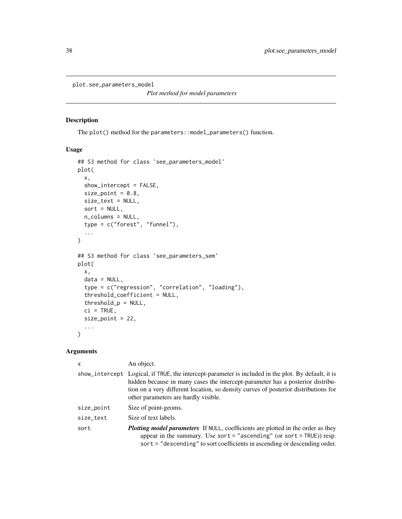plot.see\_parameters\_model

*Plot method for model parameters*

#### Description

The plot() method for the parameters:: model\_parameters() function.

#### Usage

```
## S3 method for class 'see_parameters_model'
plot(
 x,
  show_intercept = FALSE,
 size\_point = 0.8,
 size_text = NULL,
 sort = NULL,n_columns = NULL,
  type = c("forest", "funnel"),
  ...
)
## S3 method for class 'see_parameters_sem'
plot(
 x,
 data = NULL,type = c("regression", "correlation", "loading"),
  threshold_coefficient = NULL,
  threshold_p = NULL,
 ci = TRUE,size_point = 22,
  ...
\mathcal{L}
```

| $\mathsf{x}$ | An object.                                                                                                                                                                                                                                                                                                           |  |
|--------------|----------------------------------------------------------------------------------------------------------------------------------------------------------------------------------------------------------------------------------------------------------------------------------------------------------------------|--|
|              | show_intercept Logical, if TRUE, the intercept-parameter is included in the plot. By default, it is<br>hidden because in many cases the intercept-parameter has a posterior distribu-<br>tion on a very different location, so density curves of posterior distributions for<br>other parameters are hardly visible. |  |
| size_point   | Size of point-geoms.                                                                                                                                                                                                                                                                                                 |  |
| size_text    | Size of text labels.                                                                                                                                                                                                                                                                                                 |  |
| sort         | <b>Plotting model parameters</b> If NULL, coefficients are plotted in the order as they<br>appear in the summary. Use sort = "ascending" (or sort = $TRUE$ )) resp.<br>sort = "descending" to sort coefficients in ascending or descending order.                                                                    |  |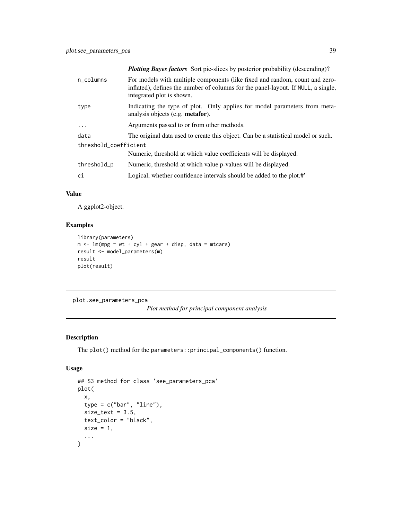| n columns             | For models with multiple components (like fixed and random, count and zero-<br>inflated), defines the number of columns for the panel-layout. If NULL, a single,<br>integrated plot is shown. |
|-----------------------|-----------------------------------------------------------------------------------------------------------------------------------------------------------------------------------------------|
| type                  | Indicating the type of plot. Only applies for model parameters from meta-<br>analysis objects (e.g. <b>metafor</b> ).                                                                         |
| $\ddots$              | Arguments passed to or from other methods.                                                                                                                                                    |
| data                  | The original data used to create this object. Can be a statistical model or such.                                                                                                             |
| threshold_coefficient |                                                                                                                                                                                               |
|                       | Numeric, threshold at which value coefficients will be displayed.                                                                                                                             |
| threshold_p           | Numeric, threshold at which value p-values will be displayed.                                                                                                                                 |
| ci                    | Logical, whether confidence intervals should be added to the plot.#                                                                                                                           |

#### Value

A ggplot2-object.

## Examples

```
library(parameters)
m \leq -\ln(mpg \sim wt + cyl + gear + disp, data = mtcars)result <- model_parameters(m)
result
plot(result)
```
plot.see\_parameters\_pca

*Plot method for principal component analysis*

## Description

The plot() method for the parameters::principal\_components() function.

## Usage

```
## S3 method for class 'see_parameters_pca'
plot(
 x,
  type = c("bar", "line"),size\_text = 3.5,
 text_color = "black",
 size = 1,...
\mathcal{L}
```
*Plotting Bayes factors* Sort pie-slices by posterior probability (descending)?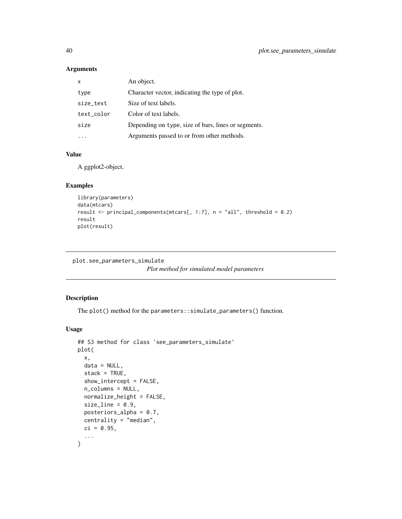| X          | An object.                                          |
|------------|-----------------------------------------------------|
| type       | Character vector, indicating the type of plot.      |
| size_text  | Size of text labels.                                |
| text color | Color of text labels.                               |
| size       | Depending on type, size of bars, lines or segments. |
|            | Arguments passed to or from other methods.          |

#### Value

A ggplot2-object.

#### Examples

```
library(parameters)
data(mtcars)
result \le principal_components(mtcars[, 1:7], n = "all", threshold = 0.2)
result
plot(result)
```

```
plot.see_parameters_simulate
```
*Plot method for simulated model parameters*

## Description

The plot() method for the parameters::simulate\_parameters() function.

```
## S3 method for class 'see_parameters_simulate'
plot(
 x,
 data = NULL,
  stack = TRUE,
  show_intercept = FALSE,
  n_columns = NULL,
  normalize_height = FALSE,
  size line = 0.9,
 posteriors_alpha = 0.7,
  centrality = "median",
 ci = 0.95,...
\mathcal{L}
```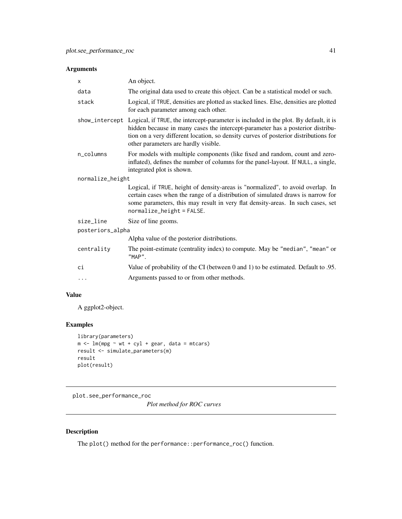| X                | An object.                                                                                                                                                                                                                                                                                                           |  |
|------------------|----------------------------------------------------------------------------------------------------------------------------------------------------------------------------------------------------------------------------------------------------------------------------------------------------------------------|--|
| data             | The original data used to create this object. Can be a statistical model or such.                                                                                                                                                                                                                                    |  |
| stack            | Logical, if TRUE, densities are plotted as stacked lines. Else, densities are plotted<br>for each parameter among each other.                                                                                                                                                                                        |  |
|                  | show_intercept Logical, if TRUE, the intercept-parameter is included in the plot. By default, it is<br>hidden because in many cases the intercept-parameter has a posterior distribu-<br>tion on a very different location, so density curves of posterior distributions for<br>other parameters are hardly visible. |  |
| n_columns        | For models with multiple components (like fixed and random, count and zero-<br>inflated), defines the number of columns for the panel-layout. If NULL, a single,<br>integrated plot is shown.                                                                                                                        |  |
| normalize_height |                                                                                                                                                                                                                                                                                                                      |  |
|                  | Logical, if TRUE, height of density-areas is "normalized", to avoid overlap. In<br>certain cases when the range of a distribution of simulated draws is narrow for<br>some parameters, this may result in very flat density-areas. In such cases, set<br>$normalize\_height = FALSE.$                                |  |
| size_line        | Size of line geoms.                                                                                                                                                                                                                                                                                                  |  |
| posteriors_alpha |                                                                                                                                                                                                                                                                                                                      |  |
|                  | Alpha value of the posterior distributions.                                                                                                                                                                                                                                                                          |  |
| centrality       | The point-estimate (centrality index) to compute. May be "median", "mean" or<br>"MAP".                                                                                                                                                                                                                               |  |
| сi               | Value of probability of the CI (between 0 and 1) to be estimated. Default to .95.                                                                                                                                                                                                                                    |  |
| $\cdots$         | Arguments passed to or from other methods.                                                                                                                                                                                                                                                                           |  |

# Value

A ggplot2-object.

# Examples

```
library(parameters)
m \le - \ln(mpg \sim wt + cyl + gear, data = mtcars)result <- simulate_parameters(m)
result
plot(result)
```
plot.see\_performance\_roc

*Plot method for ROC curves*

## Description

The plot() method for the performance::performance\_roc() function.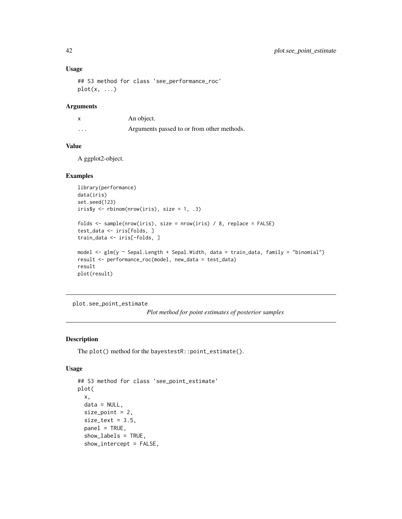#### Usage

```
## S3 method for class 'see_performance_roc'
plot(x, \ldots)
```
#### Arguments

x An object. ... Arguments passed to or from other methods.

#### Value

A ggplot2-object.

#### Examples

```
library(performance)
data(iris)
set.seed(123)
iris$y \le rbinom(nrow(iris), size = 1, .3)
folds <- sample(nrow(iris), size = nrow(iris) / 8, replace = FALSE)
test_data <- iris[folds, ]
train_data <- iris[-folds, ]
model <- glm(y ~ Sepal.Length + Sepal.Width, data = train_data, family = "binomial")
result <- performance_roc(model, new_data = test_data)
result
plot(result)
```
plot.see\_point\_estimate *Plot method for point estimates of posterior samples*

#### Description

The plot() method for the bayestestR::point\_estimate().

```
## S3 method for class 'see_point_estimate'
plot(
  x,
  data = NULL,size\_point = 2,
  size\_text = 3.5,
  panel = TRUE,show_labels = TRUE,
  show_intercept = FALSE,
```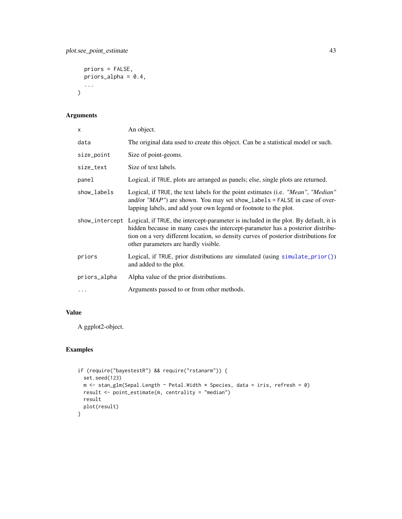```
priors = FALSE,
  priors_alpha = 0.4,
  ...
\mathcal{L}
```

| X              | An object.                                                                                                                                                                                                                                                                                            |
|----------------|-------------------------------------------------------------------------------------------------------------------------------------------------------------------------------------------------------------------------------------------------------------------------------------------------------|
| data           | The original data used to create this object. Can be a statistical model or such.                                                                                                                                                                                                                     |
| size_point     | Size of point-geoms.                                                                                                                                                                                                                                                                                  |
| size_text      | Size of text labels.                                                                                                                                                                                                                                                                                  |
| panel          | Logical, if TRUE, plots are arranged as panels; else, single plots are returned.                                                                                                                                                                                                                      |
| show_labels    | Logical, if TRUE, the text labels for the point estimates (i.e. "Mean", "Median"<br>and/or $MAP$ ) are shown. You may set show_labels = FALSE in case of over-<br>lapping labels, and add your own legend or footnote to the plot.                                                                    |
| show_intercept | Logical, if TRUE, the intercept-parameter is included in the plot. By default, it is<br>hidden because in many cases the intercept-parameter has a posterior distribu-<br>tion on a very different location, so density curves of posterior distributions for<br>other parameters are hardly visible. |
| priors         | Logical, if TRUE, prior distributions are simulated (using simulate_prior())<br>and added to the plot.                                                                                                                                                                                                |
| priors_alpha   | Alpha value of the prior distributions.                                                                                                                                                                                                                                                               |
| .              | Arguments passed to or from other methods.                                                                                                                                                                                                                                                            |

# Value

A ggplot2-object.

```
if (require("bayestestR") && require("rstanarm")) {
  set.seed(123)
 m <- stan_glm(Sepal.Length ~ Petal.Width * Species, data = iris, refresh = 0)
 result <- point_estimate(m, centrality = "median")
 result
 plot(result)
}
```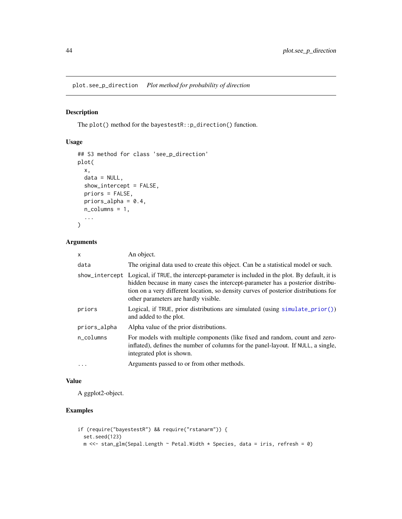plot.see\_p\_direction *Plot method for probability of direction*

## Description

The plot() method for the bayestestR::p\_direction() function.

## Usage

```
## S3 method for class 'see_p_direction'
plot(
 x,
 data = NULL,show_intercept = FALSE,
 priors = FALSE,
 priors_alpha = 0.4,
 n_columns = 1,
  ...
)
```
#### Arguments

| $\mathsf{x}$      | An object.                                                                                                                                                                                                                                                                                                           |
|-------------------|----------------------------------------------------------------------------------------------------------------------------------------------------------------------------------------------------------------------------------------------------------------------------------------------------------------------|
| data              | The original data used to create this object. Can be a statistical model or such.                                                                                                                                                                                                                                    |
|                   | show_intercept Logical, if TRUE, the intercept-parameter is included in the plot. By default, it is<br>hidden because in many cases the intercept-parameter has a posterior distribu-<br>tion on a very different location, so density curves of posterior distributions for<br>other parameters are hardly visible. |
| priors            | Logical, if TRUE, prior distributions are simulated (using simulate_prior())<br>and added to the plot.                                                                                                                                                                                                               |
| priors_alpha      | Alpha value of the prior distributions.                                                                                                                                                                                                                                                                              |
| n_columns         | For models with multiple components (like fixed and random, count and zero-<br>inflated), defines the number of columns for the panel-layout. If NULL, a single,<br>integrated plot is shown.                                                                                                                        |
| $\cdot\cdot\cdot$ | Arguments passed to or from other methods.                                                                                                                                                                                                                                                                           |

#### Value

A ggplot2-object.

```
if (require("bayestestR") && require("rstanarm")) {
  set.seed(123)
 m <<- stan_glm(Sepal.Length ~ Petal.Width * Species, data = iris, refresh = 0)
```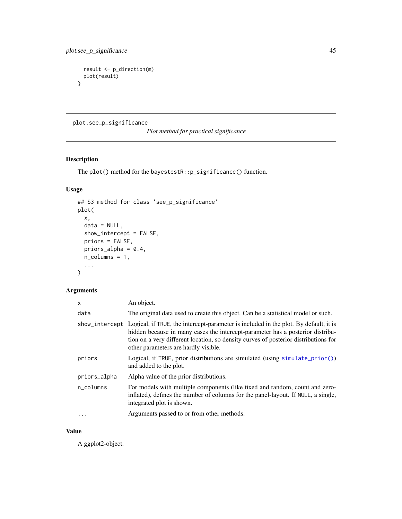```
result <- p_direction(m)
 plot(result)
}
```
plot.see\_p\_significance

*Plot method for practical significance*

# Description

The plot() method for the bayestestR::p\_significance() function.

## Usage

```
## S3 method for class 'see_p_significance'
plot(
 x,
 data = NULL,
 show_intercept = FALSE,
 priors = FALSE,
 priors_alpha = 0.4,
 n_columns = 1,
  ...
\mathcal{L}
```
# Arguments

| X            | An object.                                                                                                                                                                                                                                                                                                           |
|--------------|----------------------------------------------------------------------------------------------------------------------------------------------------------------------------------------------------------------------------------------------------------------------------------------------------------------------|
| data         | The original data used to create this object. Can be a statistical model or such.                                                                                                                                                                                                                                    |
|              | show_intercept Logical, if TRUE, the intercept-parameter is included in the plot. By default, it is<br>hidden because in many cases the intercept-parameter has a posterior distribu-<br>tion on a very different location, so density curves of posterior distributions for<br>other parameters are hardly visible. |
| priors       | Logical, if TRUE, prior distributions are simulated (using simulate_prior())<br>and added to the plot.                                                                                                                                                                                                               |
| priors_alpha | Alpha value of the prior distributions.                                                                                                                                                                                                                                                                              |
| n_columns    | For models with multiple components (like fixed and random, count and zero-<br>inflated), defines the number of columns for the panel-layout. If NULL, a single,<br>integrated plot is shown.                                                                                                                        |
| $\ddotsc$    | Arguments passed to or from other methods.                                                                                                                                                                                                                                                                           |

#### Value

A ggplot2-object.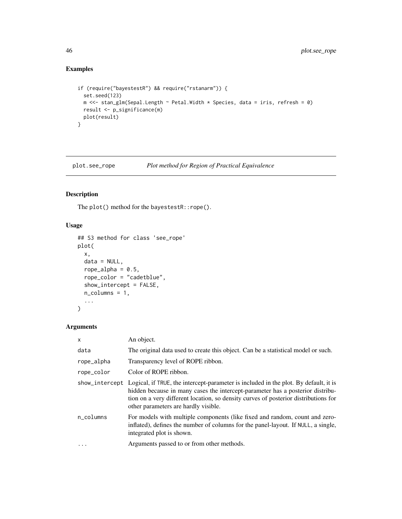# Examples

```
if (require("bayestestR") && require("rstanarm")) {
  set.seed(123)
 m <<- stan_glm(Sepal.Length ~ Petal.Width * Species, data = iris, refresh = 0)
 result <- p_significance(m)
  plot(result)
}
```
plot.see\_rope *Plot method for Region of Practical Equivalence*

# Description

The plot() method for the bayestestR::rope().

## Usage

```
## S3 method for class 'see_rope'
plot(
 x,
 data = NULL,rope_alpha = 0.5,
  rope_color = "cadetblue",
 show_intercept = FALSE,
 n_columns = 1,
  ...
)
```

| $\mathsf{x}$ | An object.                                                                                                                                                                                                                                                                                                           |
|--------------|----------------------------------------------------------------------------------------------------------------------------------------------------------------------------------------------------------------------------------------------------------------------------------------------------------------------|
| data         | The original data used to create this object. Can be a statistical model or such.                                                                                                                                                                                                                                    |
| rope_alpha   | Transparency level of ROPE ribbon.                                                                                                                                                                                                                                                                                   |
| rope_color   | Color of ROPE ribbon.                                                                                                                                                                                                                                                                                                |
|              | show_intercept Logical, if TRUE, the intercept-parameter is included in the plot. By default, it is<br>hidden because in many cases the intercept-parameter has a posterior distribu-<br>tion on a very different location, so density curves of posterior distributions for<br>other parameters are hardly visible. |
| n_columns    | For models with multiple components (like fixed and random, count and zero-<br>inflated), defines the number of columns for the panel-layout. If NULL, a single,<br>integrated plot is shown.                                                                                                                        |
| $\cdot$      | Arguments passed to or from other methods.                                                                                                                                                                                                                                                                           |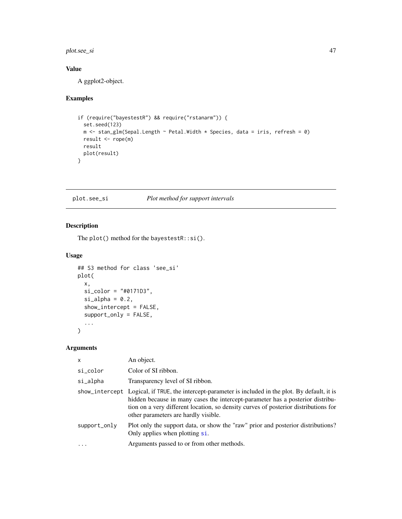## plot.see\_si 47

# Value

A ggplot2-object.

## Examples

```
if (require("bayestestR") && require("rstanarm")) {
  set.seed(123)
 m <- stan_glm(Sepal.Length ~ Petal.Width * Species, data = iris, refresh = 0)
 result <- rope(m)
 result
  plot(result)
}
```
## plot.see\_si *Plot method for support intervals*

## Description

The plot() method for the bayestestR::si().

#### Usage

```
## S3 method for class 'see_si'
plot(
  x,
  si_color = "#0171D3",
  sisubha = <math>0.2</math>,
  show_intercept = FALSE,
  support_only = FALSE,
  ...
\mathcal{L}
```

| x            | An object.                                                                                                                                                                                                                                                                                                           |
|--------------|----------------------------------------------------------------------------------------------------------------------------------------------------------------------------------------------------------------------------------------------------------------------------------------------------------------------|
| si_color     | Color of SI ribbon.                                                                                                                                                                                                                                                                                                  |
| si_alpha     | Transparency level of SI ribbon.                                                                                                                                                                                                                                                                                     |
|              | show_intercept Logical, if TRUE, the intercept-parameter is included in the plot. By default, it is<br>hidden because in many cases the intercept-parameter has a posterior distribu-<br>tion on a very different location, so density curves of posterior distributions for<br>other parameters are hardly visible. |
| support_only | Plot only the support data, or show the "raw" prior and posterior distributions?<br>Only applies when plotting si.                                                                                                                                                                                                   |
| $\cdot$      | Arguments passed to or from other methods.                                                                                                                                                                                                                                                                           |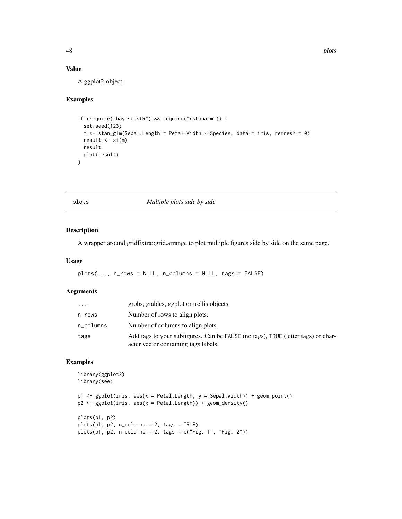#### Value

A ggplot2-object.

#### Examples

```
if (require("bayestestR") && require("rstanarm")) {
 set.seed(123)
 m <- stan_glm(Sepal.Length ~ Petal.Width * Species, data = iris, refresh = 0)
 result \leq si(m)
 result
 plot(result)
}
```
plots *Multiple plots side by side*

## Description

A wrapper around gridExtra::grid.arrange to plot multiple figures side by side on the same page.

#### Usage

plots(..., n\_rows = NULL, n\_columns = NULL, tags = FALSE)

## Arguments

| .         | grobs, gtables, ggplot or trellis objects                                                                                |
|-----------|--------------------------------------------------------------------------------------------------------------------------|
| n_rows    | Number of rows to align plots.                                                                                           |
| n_columns | Number of columns to align plots.                                                                                        |
| tags      | Add tags to your subfigures. Can be FALSE (no tags), TRUE (letter tags) or char-<br>acter vector containing tags labels. |

```
library(ggplot2)
library(see)
p1 <- ggplot(iris, aes(x = Petal.Length, y = Sepal.Width)) + geom_point()
p2 <- ggplot(iris, aes(x = Petal.Length)) + geom_density()
plots(p1, p2)
plots(p1, p2, n_columns = 2, tags = TRUE)
plots(p1, p2, n_columns = 2, tags = c("Fig. 1", "Fig. 2"))
```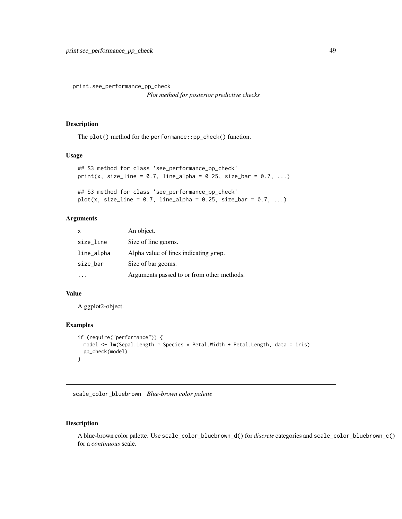print.see\_performance\_pp\_check

*Plot method for posterior predictive checks*

#### Description

The plot() method for the performance::pp\_check() function.

#### Usage

```
## S3 method for class 'see_performance_pp_check'
print(x, size_{line = 0.7, line_{alpha} = 0.25, size_{bar = 0.7, ...})## S3 method for class 'see_performance_pp_check'
```
## plot(x, size\_line =  $0.7$ , line\_alpha =  $0.25$ , size\_bar =  $0.7$ , ...)

#### Arguments

| $\mathsf{x}$ | An object.                                 |
|--------------|--------------------------------------------|
| size_line    | Size of line geoms.                        |
| line_alpha   | Alpha value of lines indicating yrep.      |
| size_bar     | Size of bar geoms.                         |
|              | Arguments passed to or from other methods. |

#### Value

A ggplot2-object.

#### Examples

```
if (require("performance")) {
 model <- lm(Sepal.Length ~ Species * Petal.Width + Petal.Length, data = iris)
 pp_check(model)
}
```
scale\_color\_bluebrown *Blue-brown color palette*

#### Description

A blue-brown color palette. Use scale\_color\_bluebrown\_d() for *discrete* categories and scale\_color\_bluebrown\_c() for a *continuous* scale.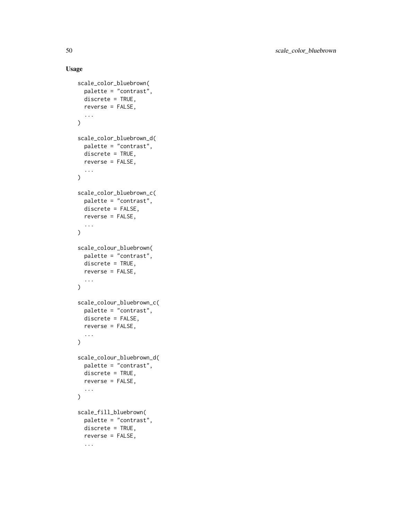```
scale_color_bluebrown(
  palette = "contrast",
  discrete = TRUE,
  reverse = FALSE,
  ...
\mathcal{L}scale_color_bluebrown_d(
  palette = "contrast",
  discrete = TRUE,
  reverse = FALSE,
  ...
\mathcal{L}scale_color_bluebrown_c(
  palette = "contrast",
  discrete = FALSE,
  reverse = FALSE,
  ...
\mathcal{L}scale_colour_bluebrown(
  palette = "contrast",
  discrete = TRUE,
  reverse = FALSE,
  ...
\mathcal{L}scale_colour_bluebrown_c(
  palette = "contrast",
  discrete = FALSE,
  reverse = FALSE,
  ...
\mathcal{L}scale_colour_bluebrown_d(
  palette = "contrast",
  discrete = TRUE,
  reverse = FALSE,
  ...
\mathcal{L}scale_fill_bluebrown(
  palette = "contrast",
  discrete = TRUE,
  reverse = FALSE,
  ...
```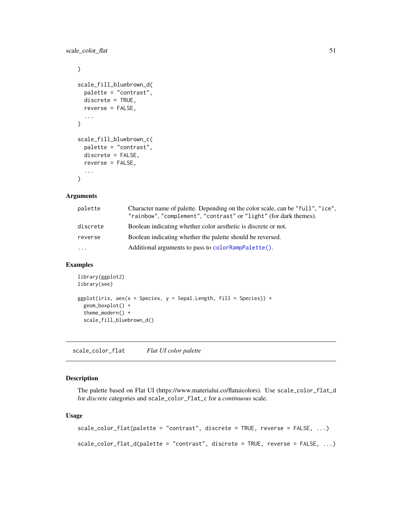<span id="page-50-0"></span>scale\_color\_flat 51

```
\mathcal{L}scale_fill_bluebrown_d(
  palette = "contrast",
  discrete = TRUE,
  reverse = FALSE,
  ...
\lambdascale_fill_bluebrown_c(
  palette = "contrast",
  discrete = FALSE,
  reverse = FALSE,
  ...
)
```
#### Arguments

| palette  | Character name of palette. Depending on the color scale, can be "full", "ice".<br>"rainbow", "complement", "contrast" or "light" (for dark themes). |
|----------|-----------------------------------------------------------------------------------------------------------------------------------------------------|
| discrete | Boolean indicating whether color aesthetic is discrete or not.                                                                                      |
| reverse  | Boolean indicating whether the palette should be reversed.                                                                                          |
| .        | Additional arguments to pass to color RampPalette().                                                                                                |

#### Examples

```
library(ggplot2)
library(see)
ggplot(iris, aes(x = Species, y = Sepal.Length, fill = Species)) +
  geom_boxplot() +
  theme_modern() +
  scale_fill_bluebrown_d()
```
scale\_color\_flat *Flat UI color palette*

## Description

The palette based on Flat UI (https://www.materialui.co/flatuicolors). Use scale\_color\_flat\_d for *discrete* categories and scale\_color\_flat\_c for a *continuous* scale.

```
scale_color_flat(palette = "contrast", discrete = TRUE, reverse = FALSE, ...)
scale_color_flat_d(palette = "contrast", discrete = TRUE, reverse = FALSE, ...)
```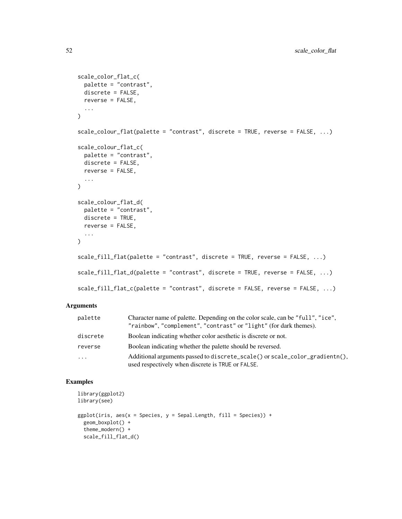```
scale_color_flat_c(
 palette = "contrast",
 discrete = FALSE,
 reverse = FALSE,
  ...
\mathcal{L}scale_colour_flat(palette = "contrast", discrete = TRUE, reverse = FALSE, ...)
scale_colour_flat_c(
 palette = "contrast",
 discrete = FALSE,
 reverse = FALSE,
  ...
\mathcal{L}scale_colour_flat_d(
 palette = "contrast",
 discrete = TRUE,
 reverse = FALSE,
  ...
)
scale_fill_flat(palette = "contrast", discrete = TRUE, reverse = FALSE, ...)
scale_fill_flat_d(palette = "contrast", discrete = TRUE, reverse = FALSE, ...)
scale_fill_flat_c(palette = "contrast", discrete = FALSE, reverse = FALSE, ...)
```

| palette  | Character name of palette. Depending on the color scale, can be "full", "ice",<br>"rainbow", "complement", "contrast" or "light" (for dark themes). |
|----------|-----------------------------------------------------------------------------------------------------------------------------------------------------|
| discrete | Boolean indicating whether color aesthetic is discrete or not.                                                                                      |
| reverse  | Boolean indicating whether the palette should be reversed.                                                                                          |
| .        | Additional arguments passed to discrete_scale() or scale_color_gradientn(),<br>used respectively when discrete is TRUE or FALSE.                    |

```
library(ggplot2)
library(see)
ggplot(iris, aes(x = Species, y = Separ.Length, fill = Species)) +geom_boxplot() +
  theme_modern() +
  scale_fill_flat_d()
```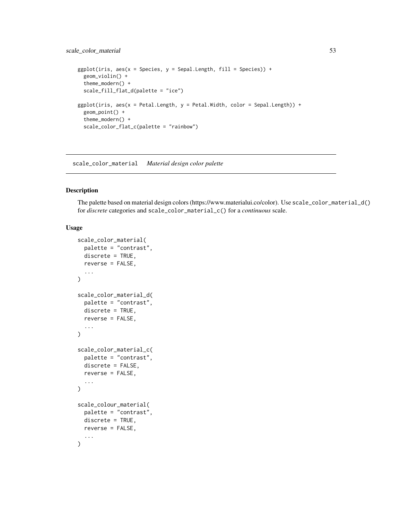## scale\_color\_material 53

```
ggplot(iris, aes(x = Species, y = Separ.Length, fill = Species)) +geom_violin() +
  theme_modern() +
  scale_fill_flat_d(palette = "ice")
ggplot(iris, aes(x = Petal.Length, y = Petal.Width, color = Sepal.Length)) +
  geom_point() +
  theme_modern() +
  scale_color_flat_c(palette = "rainbow")
```
scale\_color\_material *Material design color palette*

#### Description

The palette based on material design colors (https://www.materialui.co/color). Use scale\_color\_material\_d() for *discrete* categories and scale\_color\_material\_c() for a *continuous* scale.

```
scale_color_material(
  palette = "contrast",
  discrete = TRUE,
  reverse = FALSE,
  ...
\mathcal{L}scale_color_material_d(
  palette = "contrast",
  discrete = TRUE,
  reverse = FALSE,
  ...
\mathcal{L}scale_color_material_c(
  palette = "contrast",
  discrete = FALSE,
  reverse = FALSE,
  ...
\mathcal{L}scale_colour_material(
  palette = "contrast",
  discrete = TRUE,
  reverse = FALSE,
  ...
)
```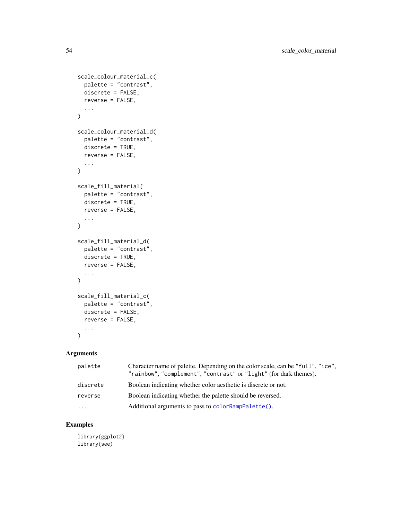```
scale_colour_material_c(
  palette = "contrast",
  discrete = FALSE,
  reverse = FALSE,
  ...
\mathcal{L}scale_colour_material_d(
  palette = "contrast",
  discrete = TRUE,
  reverse = FALSE,
  ...
)
scale_fill_material(
  palette = "contrast",
  discrete = TRUE,
  reverse = FALSE,
 ...
\mathcal{L}scale_fill_material_d(
  palette = "contrast",
  discrete = TRUE,
  reverse = FALSE,
 ...
\mathcal{L}scale_fill_material_c(
  palette = "contrast",
  discrete = FALSE,
  reverse = FALSE,
  ...
\mathcal{L}
```

| palette  | Character name of palette. Depending on the color scale, can be "full", "ice",<br>"rainbow", "complement", "contrast" or "light" (for dark themes). |
|----------|-----------------------------------------------------------------------------------------------------------------------------------------------------|
| discrete | Boolean indicating whether color aesthetic is discrete or not.                                                                                      |
| reverse  | Boolean indicating whether the palette should be reversed.                                                                                          |
| .        | Additional arguments to pass to color RampPalette().                                                                                                |

## Examples

library(ggplot2) library(see)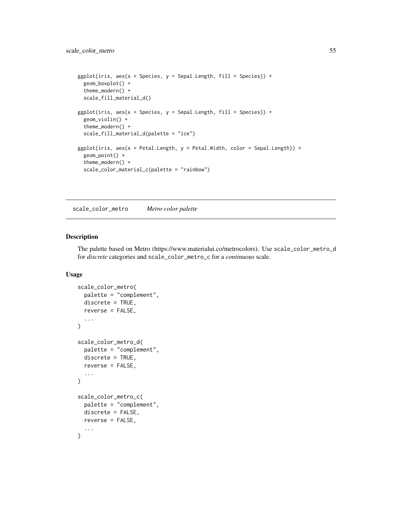```
ggplot(iris, aes(x = Species, y = Separ.Length, fill = Species)) +geom_boxplot() +
 theme_modern() +
 scale_fill_material_d()
ggplot(iris, aes(x = Species, y = Separ.Length, fill = Species)) +geom_violin() +
 theme_modern() +
 scale_fill_material_d(palette = "ice")
ggplot(iris, aes(x = Petal.Length, y = Petal.Width, color = Sepal.Length)) +
 geom_point() +
 theme_modern() +
 scale_color_material_c(palette = "rainbow")
```
scale\_color\_metro *Metro color palette*

#### Description

The palette based on Metro (https://www.materialui.co/metrocolors). Use scale\_color\_metro\_d for *discrete* categories and scale\_color\_metro\_c for a *continuous* scale.

```
scale_color_metro(
  palette = "complement",
  discrete = TRUE,
  reverse = FALSE,
  ...
\lambdascale_color_metro_d(
  palette = "complement",
  discrete = TRUE,
 reverse = FALSE,
  ...
)
scale_color_metro_c(
 palette = "complement",
  discrete = FALSE,
  reverse = FALSE,
  ...
)
```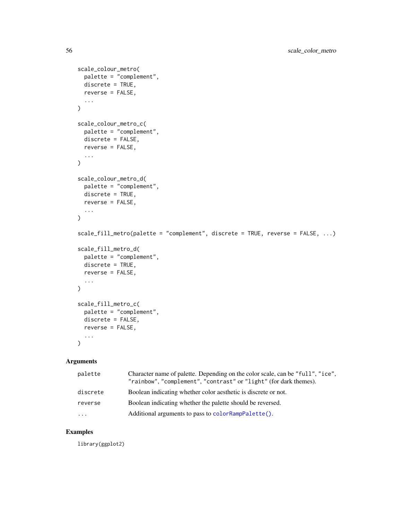```
scale_colour_metro(
 palette = "complement",
 discrete = TRUE,
 reverse = FALSE,
  ...
)
scale_colour_metro_c(
 palette = "complement",
 discrete = FALSE,
 reverse = FALSE,
  ...
\mathcal{L}scale_colour_metro_d(
 palette = "complement",
 discrete = TRUE,
 reverse = FALSE,
  ...
\mathcal{L}scale_fill_metro(palette = "complement", discrete = TRUE, reverse = FALSE, ...)
scale_fill_metro_d(
 palette = "complement",
 discrete = TRUE,
 reverse = FALSE,
  ...
\mathcal{L}scale_fill_metro_c(
 palette = "complement",
 discrete = FALSE,
 reverse = FALSE,
  ...
\mathcal{L}
```

| palette  | Character name of palette. Depending on the color scale, can be "full", "ice",<br>"rainbow", "complement", "contrast" or "light" (for dark themes). |
|----------|-----------------------------------------------------------------------------------------------------------------------------------------------------|
| discrete | Boolean indicating whether color aesthetic is discrete or not.                                                                                      |
| reverse  | Boolean indicating whether the palette should be reversed.                                                                                          |
| $\cdots$ | Additional arguments to pass to color RampPalette().                                                                                                |

## Examples

library(ggplot2)

<span id="page-55-0"></span>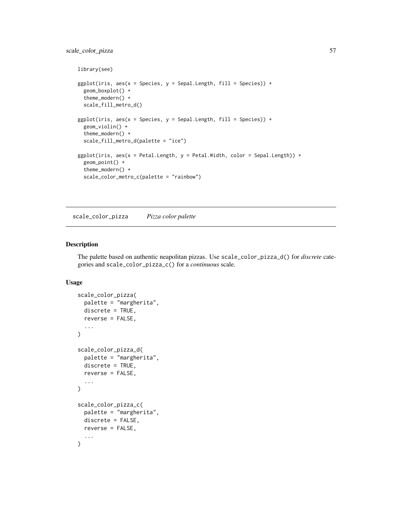## scale\_color\_pizza 57

```
library(see)
ggplot(iris, aes(x = Species, y = Separ.Length, fill = Species)) +geom_boxplot() +
  theme_modern() +
  scale_fill_metro_d()
ggplot(iris, aes(x = Species, y = Separ.Length, fill = Species)) +geom_violin() +
  theme_modern() +
  scale_fill_metro_d(palette = "ice")
ggplot(iris, aes(x = Petal.length, y = Petal.Width, color = Sepal.length)) +geom_point() +
  theme_modern() +
  scale_color_metro_c(palette = "rainbow")
```
scale\_color\_pizza *Pizza color palette*

#### Description

The palette based on authentic neapolitan pizzas. Use scale\_color\_pizza\_d() for *discrete* categories and scale\_color\_pizza\_c() for a *continuous* scale.

```
scale_color_pizza(
  palette = "margherita",
  discrete = TRUE,
  reverse = FALSE,
  ...
\mathcal{L}scale_color_pizza_d(
  palette = "margherita",
  discrete = TRUE,
  reverse = FALSE,
  ...
\mathcal{L}scale_color_pizza_c(
  palette = "margherita",
  discrete = FALSE,
  reverse = FALSE,
  ...
)
```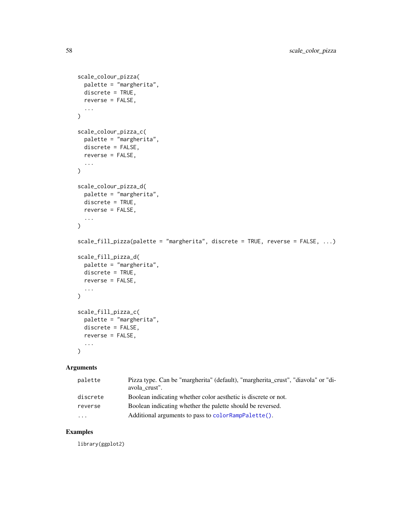```
scale_colour_pizza(
 palette = "margherita",
 discrete = TRUE,
 reverse = FALSE,
  ...
\mathcal{L}scale_colour_pizza_c(
 palette = "margherita",
 discrete = FALSE,
 reverse = FALSE,
  ...
)
scale_colour_pizza_d(
 palette = "margherita",
 discrete = TRUE,
 reverse = FALSE,
 ...
\mathcal{L}scale_fill_pizza(palette = "margherita", discrete = TRUE, reverse = FALSE, ...)
scale_fill_pizza_d(
 palette = "margherita",
 discrete = TRUE,
 reverse = FALSE,
  ...
)
scale_fill_pizza_c(
 palette = "margherita",
 discrete = FALSE,
 reverse = FALSE,
  ...
\lambda
```

| palette  | Pizza type. Can be "margherita" (default), "margherita crust", "diavola" or "di-<br>avola crust". |
|----------|---------------------------------------------------------------------------------------------------|
| discrete | Boolean indicating whether color aesthetic is discrete or not.                                    |
| reverse  | Boolean indicating whether the palette should be reversed.                                        |
| .        | Additional arguments to pass to color RampPalette().                                              |

## Examples

library(ggplot2)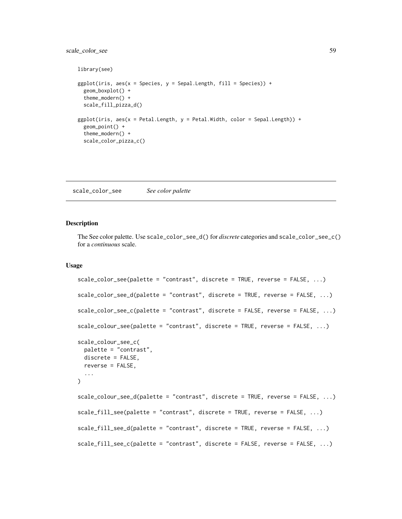## scale\_color\_see 59

```
library(see)
ggplot(iris, aes(x = Species, y = Separ.Length, fill = Species)) +geom_boxplot() +
  theme_modern() +
  scale_fill_pizza_d()
ggplot(iris, aes(x = Petal.length, y = Petal.Width, color = Sepal.length)) +geom_point() +
  theme_modern() +
  scale_color_pizza_c()
```
scale\_color\_see *See color palette*

#### Description

The See color palette. Use scale\_color\_see\_d() for *discrete* categories and scale\_color\_see\_c() for a *continuous* scale.

```
scale_color_see(palette = "contrast", discrete = TRUE, reverse = FALSE, ...)
scale_color_see_d(palette = "contrast", discrete = TRUE, reverse = FALSE, ...)
scale_color_see_c(palette = "contrast", discrete = FALSE, reverse = FALSE, ...)
scale_colour_see(palette = "contrast", discrete = TRUE, reverse = FALSE, ...)
scale_colour_see_c(
 palette = "contrast",
 discrete = FALSE,
 reverse = FALSE,
  ...
)
scale_colour_see_d(palette = "contrast", discrete = TRUE, reverse = FALSE, ...)
scale_fill_see(palette = "contrast", discrete = TRUE, reverse = FALSE, ...)
scale_fill_see_d(palette = "contrast", discrete = TRUE, reverse = FALSE, ...)
scale_fill_see_c(palette = "contrast", discrete = FALSE, reverse = FALSE, ...)
```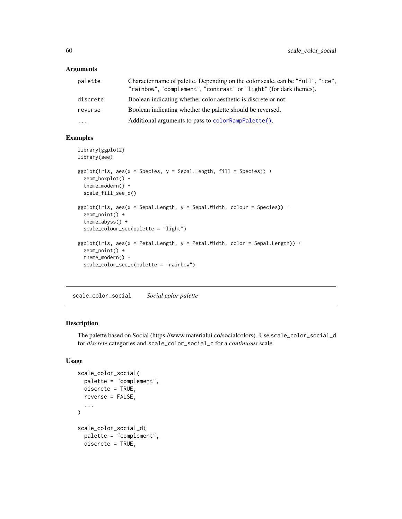<span id="page-59-0"></span>

| palette  | Character name of palette. Depending on the color scale, can be "full", "ice".<br>"rainbow", "complement", "contrast" or "light" (for dark themes). |
|----------|-----------------------------------------------------------------------------------------------------------------------------------------------------|
| discrete | Boolean indicating whether color aesthetic is discrete or not.                                                                                      |
| reverse  | Boolean indicating whether the palette should be reversed.                                                                                          |
| $\cdots$ | Additional arguments to pass to color RampPalette().                                                                                                |

#### Examples

```
library(ggplot2)
library(see)
ggplot(iris, aes(x = Species, y = Separ.Length, fill = Species)) +geom_boxplot() +
  theme_modern() +
  scale_fill_see_d()
ggplot(iris, aes(x = Sepal.Length, y = Sepal.Width, colour = Species)) +
  geom_point() +
  theme_abyss() +
  scale_colour_see(palette = "light")
ggplot(iris, aes(x = Petal.length, y = Petal.Width, color = Sepal.length)) +geom_point() +
  theme_modern() +
  scale_color_see_c(palette = "rainbow")
```
scale\_color\_social *Social color palette*

#### Description

The palette based on Social (https://www.materialui.co/socialcolors). Use scale\_color\_social\_d for *discrete* categories and scale\_color\_social\_c for a *continuous* scale.

```
scale_color_social(
 palette = "complement",
 discrete = TRUE,
  reverse = FALSE,
  ...
\mathcal{L}scale_color_social_d(
  palette = "complement",
  discrete = TRUE,
```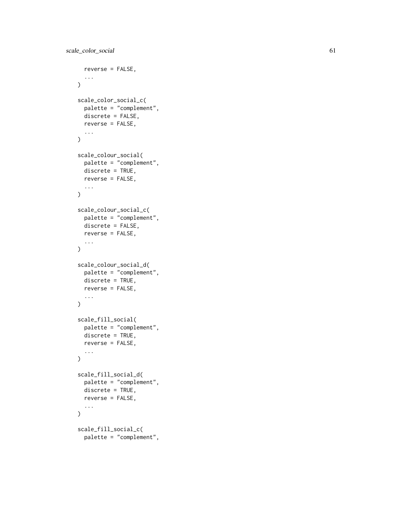```
reverse = FALSE,
  ...
\lambdascale_color_social_c(
 palette = "complement",
 discrete = FALSE,
 reverse = FALSE,
  ...
\mathcal{L}scale_colour_social(
 palette = "complement",
 discrete = TRUE,
 reverse = FALSE,
  ...
\lambdascale_colour_social_c(
 palette = "complement",
 discrete = FALSE,
 reverse = FALSE,
  ...
\mathcal{L}scale_colour_social_d(
 palette = "complement",
 discrete = TRUE,
 reverse = FALSE,
  ...
)
scale_fill_social(
 palette = "complement",
 discrete = TRUE,
 reverse = FALSE,
  ...
)
scale_fill_social_d(
 palette = "complement",
 discrete = TRUE,
 reverse = FALSE,
  ...
\lambdascale_fill_social_c(
```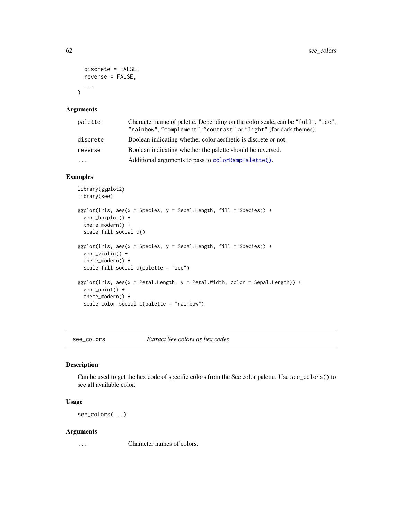```
discrete = FALSE,
 reverse = FALSE,
  ...
\lambda
```

| palette  | Character name of palette. Depending on the color scale, can be "full", "ice",<br>"rainbow", "complement", "contrast" or "light" (for dark themes). |
|----------|-----------------------------------------------------------------------------------------------------------------------------------------------------|
| discrete | Boolean indicating whether color aesthetic is discrete or not.                                                                                      |
| reverse  | Boolean indicating whether the palette should be reversed.                                                                                          |
| $\cdots$ | Additional arguments to pass to color RampPalette().                                                                                                |

## Examples

```
library(ggplot2)
library(see)
ggplot(iris, aes(x = Species, y = Separ.Length, fill = Species)) +geom_boxplot() +
  theme_modern() +
  scale_fill_social_d()
ggplot(iris, aes(x = Species, y = Separ.Length, fill = Species)) +geom_violin() +
  theme_modern() +
  scale_fill_social_d(palette = "ice")
ggplot(iris, aes(x = Petal.Length, y = Petal.Width, color = Sepal.Length)) +
  geom_point() +
  theme_modern() +
  scale_color_social_c(palette = "rainbow")
```
see\_colors *Extract See colors as hex codes*

#### Description

Can be used to get the hex code of specific colors from the See color palette. Use see\_colors() to see all available color.

#### Usage

see\_colors(...)

#### Arguments

... Character names of colors.

<span id="page-61-0"></span>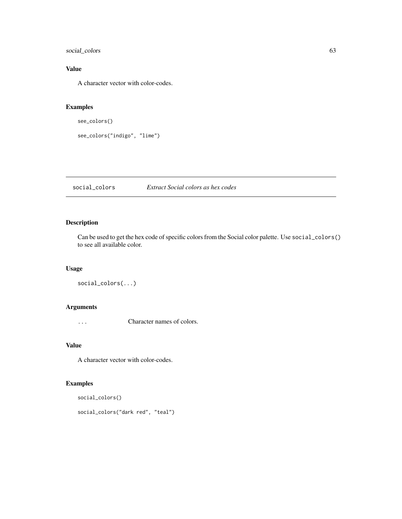social\_colors 63

# Value

A character vector with color-codes.

## Examples

```
see_colors()
```
see\_colors("indigo", "lime")

social\_colors *Extract Social colors as hex codes*

## Description

Can be used to get the hex code of specific colors from the Social color palette. Use social\_colors() to see all available color.

#### Usage

```
social_colors(...)
```
# Arguments

... Character names of colors.

#### Value

A character vector with color-codes.

```
social_colors()
social_colors("dark red", "teal")
```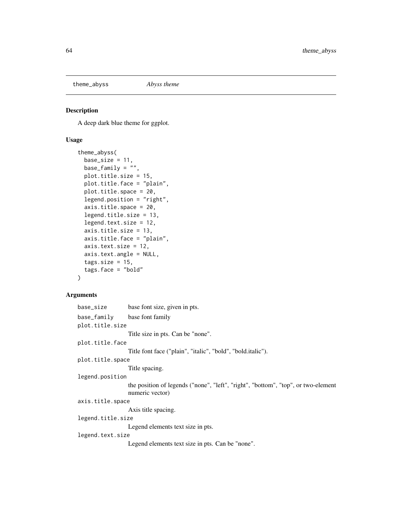theme\_abyss *Abyss theme*

## Description

A deep dark blue theme for ggplot.

## Usage

```
theme_abyss(
 base_size = 11,
 base_family = \overline{''''},
 plot.title.size = 15,
 plot.title.face = "plain",
  plot.title.space = 20,
  legend.position = "right",
  axis.title.space = 20,
  legend.title.size = 13,
  legend.text.size = 12,
  axis.title.size = 13,
  axis.title.face = "plain",
  axis.text.size = 12,
  axis.text.angle = NULL,
  tags.size = 15,tags.face = "bold")
```

| base_size         | base font size, given in pts.                                                                        |  |
|-------------------|------------------------------------------------------------------------------------------------------|--|
| base_family       | base font family                                                                                     |  |
| plot.title.size   |                                                                                                      |  |
|                   | Title size in pts. Can be "none".                                                                    |  |
| plot.title.face   |                                                                                                      |  |
|                   | Title font face ("plain", "italic", "bold", "bold.italic").                                          |  |
| plot.title.space  |                                                                                                      |  |
|                   | Title spacing.                                                                                       |  |
| legend.position   |                                                                                                      |  |
|                   | the position of legends ("none", "left", "right", "bottom", "top", or two-element<br>numeric vector) |  |
| axis.title.space  |                                                                                                      |  |
|                   | Axis title spacing.                                                                                  |  |
| legend.title.size |                                                                                                      |  |
|                   | Legend elements text size in pts.                                                                    |  |
| legend.text.size  |                                                                                                      |  |
|                   | Legend elements text size in pts. Can be "none".                                                     |  |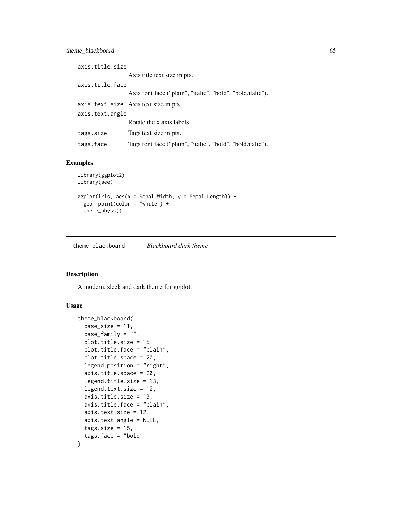## theme\_blackboard 65

| axis.title.size |                                                            |  |
|-----------------|------------------------------------------------------------|--|
|                 | Axis title text size in pts.                               |  |
| axis.title.face |                                                            |  |
|                 | Axis font face ("plain", "italic", "bold", "bold.italic"). |  |
|                 | axis.text.size Axis text size in pts.                      |  |
| axis.text.angle |                                                            |  |
|                 | Rotate the x axis labels.                                  |  |
| tags.size       | Tags text size in pts.                                     |  |
| tags.face       | Tags font face ("plain", "italic", "bold", "bold.italic"). |  |

#### Examples

```
library(ggplot2)
library(see)
ggplot(iris, aes(x = Sepal.Width, y = Sepal.Length)) +geom_point(color = "white") +
  theme_abyss()
```
theme\_blackboard *Blackboard dark theme*

## Description

A modern, sleek and dark theme for ggplot.

```
theme_blackboard(
 base_size = 11,
 base_family = \overline{''''},
 plot.title.size = 15,
 plot.title.face = "plain",
 plot.title.space = 20,
  legend.position = "right",
  axis.title.space = 20,
  legend.title.size = 13,
  legend.text.size = 12,
  axis.title.size = 13,
  axis.title.face = "plain",
  axis.text.size = 12,
  axis.text.angle = NULL,
  tags.size = 15,tags.face = "bold"
\mathcal{L}
```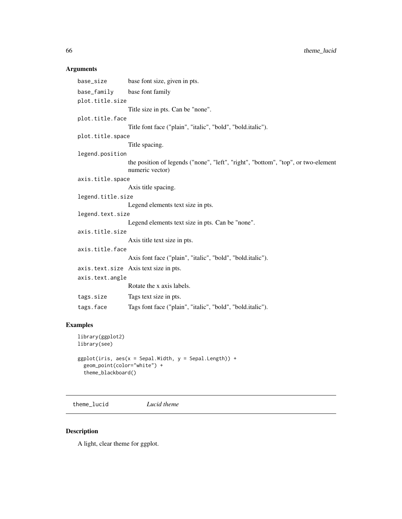| base_size         | base font size, given in pts.                                                                        |  |
|-------------------|------------------------------------------------------------------------------------------------------|--|
| base_family       | base font family                                                                                     |  |
| plot.title.size   |                                                                                                      |  |
|                   | Title size in pts. Can be "none".                                                                    |  |
| plot.title.face   |                                                                                                      |  |
|                   | Title font face ("plain", "italic", "bold", "bold.italic").                                          |  |
| plot.title.space  |                                                                                                      |  |
|                   | Title spacing.                                                                                       |  |
| legend.position   |                                                                                                      |  |
|                   | the position of legends ("none", "left", "right", "bottom", "top", or two-element<br>numeric vector) |  |
| axis.title.space  |                                                                                                      |  |
|                   | Axis title spacing.                                                                                  |  |
| legend.title.size |                                                                                                      |  |
|                   | Legend elements text size in pts.                                                                    |  |
| legend.text.size  |                                                                                                      |  |
|                   | Legend elements text size in pts. Can be "none".                                                     |  |
| axis.title.size   |                                                                                                      |  |
|                   | Axis title text size in pts.                                                                         |  |
| axis.title.face   |                                                                                                      |  |
|                   | Axis font face ("plain", "italic", "bold", "bold.italic").                                           |  |
|                   | axis. text. size Axis text size in pts.                                                              |  |
| axis.text.angle   |                                                                                                      |  |
|                   | Rotate the x axis labels.                                                                            |  |
| tags.size         | Tags text size in pts.                                                                               |  |
| tags.face         | Tags font face ("plain", "italic", "bold", "bold.italic").                                           |  |

# Examples

```
library(ggplot2)
library(see)
ggplot(iris, aes(x = Sepal.Width, y = Sepal.Length)) +
  geom_point(color="white") +
  theme_blackboard()
```
theme\_lucid *Lucid theme*

## Description

A light, clear theme for ggplot.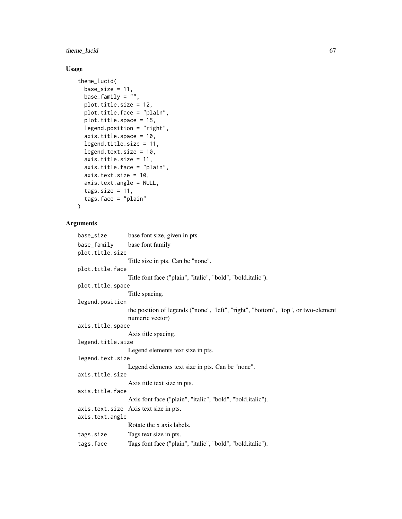theme\_lucid 67

#### Usage

```
theme_lucid(
 base_size = 11,
  base_family = ",
 plot.title.size = 12,
  plot.title.face = "plain",
 plot.title.space = 15,
  legend.position = "right",
  axis.title.space = 10,
  legend.title.size = 11,
  legend.text.size = 10,
  axis.title.size = 11,
  axis.title.face = "plain",
  axis.text.size = 10,
  axis.text.angle = NULL,
  tags.size = 11,tags.face = "plain"
\lambda
```

```
base_size base font size, given in pts.
base_family base font family
plot.title.size
                  Title size in pts. Can be "none".
plot.title.face
                  Title font face ("plain", "italic", "bold", "bold.italic").
plot.title.space
                  Title spacing.
legend.position
                  the position of legends ("none", "left", "right", "bottom", "top", or two-element
                  numeric vector)
axis.title.space
                  Axis title spacing.
legend.title.size
                  Legend elements text size in pts.
legend.text.size
                  Legend elements text size in pts. Can be "none".
axis.title.size
                  Axis title text size in pts.
axis.title.face
                  Axis font face ("plain", "italic", "bold", "bold.italic").
axis.text.size Axis text size in pts.
axis.text.angle
                  Rotate the x axis labels.
tags.size Tags text size in pts.
tags.face Tags font face ("plain", "italic", "bold", "bold.italic").
```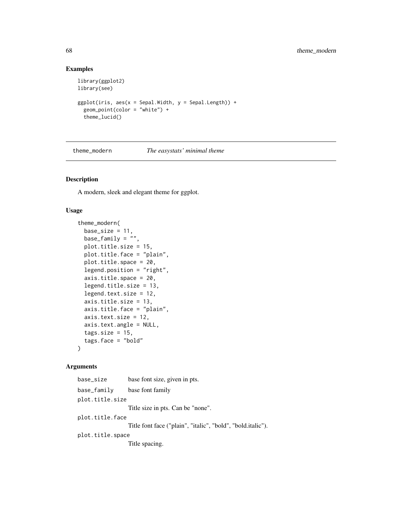#### Examples

```
library(ggplot2)
library(see)
ggplot(iris, aes(x = Sepal.Width, y = Sepal.Length)) +geom_point(color = "white") +
  theme_lucid()
```
theme\_modern *The easystats' minimal theme*

#### Description

A modern, sleek and elegant theme for ggplot.

#### Usage

```
theme_modern(
  base_size = 11,
 base_family = ",
 plot.title.size = 15,
 plot.title.face = "plain",
 plot.title.space = 20,
  legend.position = "right",
  axis.title.space = 20,
  legend.title.size = 13,
  legend.text.size = 12,
  axis.title.size = 13,
  axis.title.face = "plain",
  axis.text.size = 12,
  axis.text.angle = NULL,
  tags.size = 15,
  tags.face = "bold"
)
```

```
base_size base font size, given in pts.
base_family base font family
plot.title.size
                 Title size in pts. Can be "none".
plot.title.face
                 Title font face ("plain", "italic", "bold", "bold.italic").
plot.title.space
                 Title spacing.
```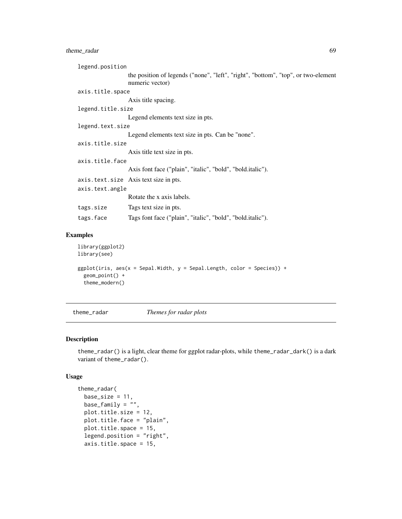## theme\_radar 69

| legend.position   |                                                                                                      |  |
|-------------------|------------------------------------------------------------------------------------------------------|--|
|                   | the position of legends ("none", "left", "right", "bottom", "top", or two-element<br>numeric vector) |  |
| axis.title.space  |                                                                                                      |  |
|                   | Axis title spacing.                                                                                  |  |
| legend.title.size |                                                                                                      |  |
|                   | Legend elements text size in pts.                                                                    |  |
| legend.text.size  |                                                                                                      |  |
|                   | Legend elements text size in pts. Can be "none".                                                     |  |
| axis.title.size   |                                                                                                      |  |
|                   | Axis title text size in pts.                                                                         |  |
| axis.title.face   |                                                                                                      |  |
|                   | Axis font face ("plain", "italic", "bold", "bold.italic").                                           |  |
|                   | axis.text.size Axis text size in pts.                                                                |  |
| axis.text.angle   |                                                                                                      |  |
|                   | Rotate the x axis labels.                                                                            |  |
| tags.size         | Tags text size in pts.                                                                               |  |
| tags.face         | Tags font face ("plain", "italic", "bold", "bold.italic").                                           |  |
|                   |                                                                                                      |  |

# Examples

```
library(ggplot2)
library(see)
ggplot(iris, aes(x = Sepal.Width, y = Sepal.Length, color = Species)) +
  geom_point() +
  theme_modern()
```
theme\_radar *Themes for radar plots*

#### Description

theme\_radar() is a light, clear theme for ggplot radar-plots, while theme\_radar\_dark() is a dark variant of theme\_radar().

```
theme_radar(
 base_size = 11,
 base_family = \overline{''''},
 plot.title.size = 12,
 plot.title.face = "plain",
 plot.title.space = 15,
  legend.position = "right",
  axis.title.space = 15,
```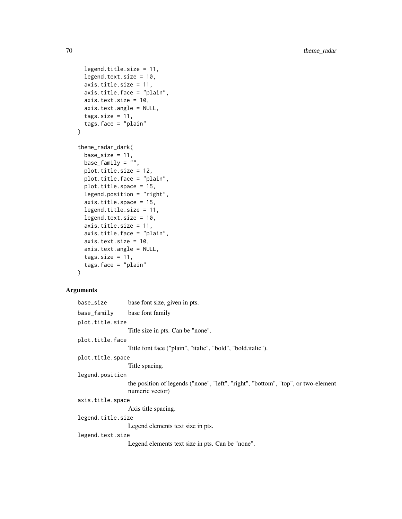```
legend.title.size = 11,
  legend.text.size = 10,
  axis.title.size = 11,
  axis.title.face = "plain",
  axis.text.size = 10,
  axis.text.angle = NULL,
  tags.size = 11,tags.face = "plain"
\lambdatheme_radar_dark(
 base_size = 11,
 base_family = ",
 plot.title.size = 12,
 plot.title.face = "plain",
  plot.title.space = 15,
  legend.position = "right",
  axis.title.space = 15,
  legend.title.size = 11,
  legend.text.size = 10.
  axis.title.size = 11,
  axis.title.face = "plain",
  axis.text.size = 10,
  axis.text.angle = NULL,
  tags.size = 11,tags.face = "plain"
)
```

```
base_size base font size, given in pts.
base_family base font family
plot.title.size
                 Title size in pts. Can be "none".
plot.title.face
                 Title font face ("plain", "italic", "bold", "bold.italic").
plot.title.space
                  Title spacing.
legend.position
                  the position of legends ("none", "left", "right", "bottom", "top", or two-element
                  numeric vector)
axis.title.space
                  Axis title spacing.
legend.title.size
                 Legend elements text size in pts.
legend.text.size
                 Legend elements text size in pts. Can be "none".
```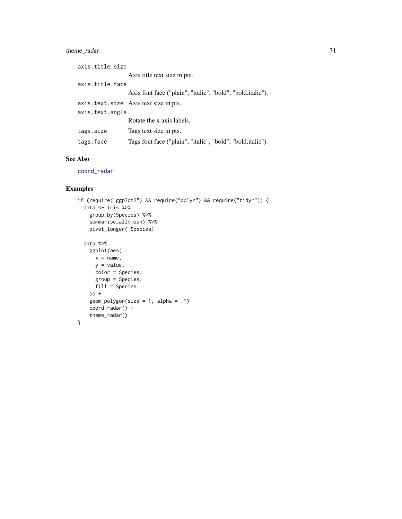# <span id="page-70-0"></span>theme\_radar 71

| axis.title.size |                                                            |  |
|-----------------|------------------------------------------------------------|--|
|                 | Axis title text size in pts.                               |  |
| axis.title.face |                                                            |  |
|                 | Axis font face ("plain", "italic", "bold", "bold.italic"). |  |
|                 | axis. text. size Axis text size in pts.                    |  |
| axis.text.angle |                                                            |  |
|                 | Rotate the x axis labels.                                  |  |
| tags.size       | Tags text size in pts.                                     |  |
| tags.face       | Tags font face ("plain", "italic", "bold", "bold.italic"). |  |

## See Also

[coord\\_radar](#page-4-0)

```
if (require("ggplot2") && require("dplyr") && require("tidyr")) {
 data <- iris %>%
   group_by(Species) %>%
   summarise_all(mean) %>%
   pivot_longer(-Species)
 data %>%
   ggplot(aes(
     x = name,y = value,
     color = Species,
     group = Species,
     fill = Species
   )) +
   geom\_polygon(size = 1, alpha = .1) +coord_radar() +
   theme_radar()
}
```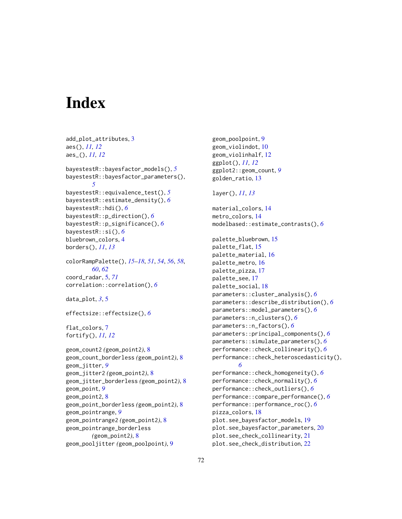# **Index**

```
add_plot_attributes, 3
aes(), 11, 12
aes_(), 11, 12
bayestestR::bayesfactor_models(), 5
bayestestR::bayesfactor_parameters(),
        5
bayestestR::equivalence_test(), 5
bayestestR::estimate_density(), 6
bayestestR::hdi(), 6
bayestestR::p_direction(), 6
bayestestR::p_significance(), 6
bayestestR::si(), 6
bluebrown_colors, 4
borders(), 11, 13
colorRampPalette(), 15–18, 51, 54, 56, 58,
        60, 62
coord_radar, 5, 71
correlation::correlation(), 6
data_plot, 3, 5
effectsize::effectsize(), 6
flat_colors, 7
fortify(), 11, 12
geom_count2 (geom_point2), 8
geom_count_borderless (geom_point2), 8
geom_jitter, 9
geom_jitter2 (geom_point2), 8
geom_jitter_borderless (geom_point2), 8
geom_point, 9
geom_point2, 8
geom_point_borderless (geom_point2), 8
geom_pointrange, 9
geom_pointrange2 (geom_point2), 8
geom_pointrange_borderless
        (geom_point2), 8
geom_pooljitter (geom_poolpoint), 9
```
geom\_poolpoint, [9](#page-8-0) geom\_violindot, [10](#page-9-0) geom\_violinhalf, [12](#page-11-0) ggplot(), *[11,](#page-10-0) [12](#page-11-0)* ggplot2::geom\_count, *[9](#page-8-0)* golden\_ratio, [13](#page-12-0) layer(), *[11](#page-10-0)*, *[13](#page-12-0)*

material\_colors, [14](#page-13-0)

metro\_colors, [14](#page-13-0) modelbased::estimate\_contrasts(), *[6](#page-5-0)* palette\_bluebrown, [15](#page-14-0) palette\_flat, [15](#page-14-0) palette\_material, [16](#page-15-0) palette\_metro, [16](#page-15-0) palette\_pizza, [17](#page-16-0) palette\_see, [17](#page-16-0) palette\_social, [18](#page-17-0) parameters::cluster\_analysis(), *[6](#page-5-0)* parameters::describe\_distribution(), *[6](#page-5-0)* parameters::model\_parameters(), *[6](#page-5-0)* parameters::n\_clusters(), *[6](#page-5-0)* parameters::n\_factors(), *[6](#page-5-0)* parameters::principal\_components(), *[6](#page-5-0)* parameters::simulate\_parameters(), *[6](#page-5-0)* performance::check\_collinearity(), *[6](#page-5-0)* performance::check\_heteroscedasticity(), *[6](#page-5-0)* performance::check\_homogeneity(), *[6](#page-5-0)* performance::check\_normality(), *[6](#page-5-0)* performance::check\_outliers(), *[6](#page-5-0)* performance::compare\_performance(), *[6](#page-5-0)* performance::performance\_roc(), *[6](#page-5-0)* pizza\_colors, [18](#page-17-0) plot.see\_bayesfactor\_models, [19](#page-18-0) plot.see\_bayesfactor\_parameters, [20](#page-19-0) plot.see\_check\_collinearity, [21](#page-20-0) plot.see\_check\_distribution, [22](#page-21-0)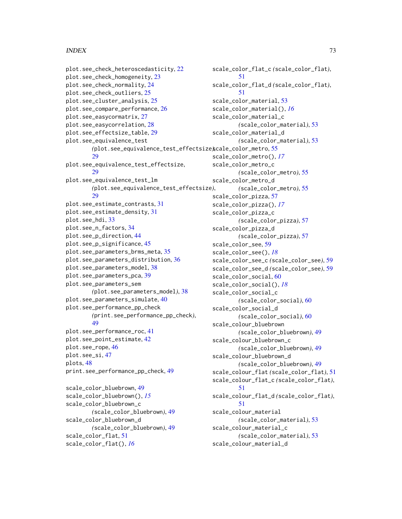## $I<sub>N</sub>$   $I<sub>3</sub>$   $I<sub>3</sub>$   $I<sub>4</sub>$   $I<sub>5</sub>$   $I<sub>6</sub>$   $I<sub>7</sub>$   $I<sub>8</sub>$   $I<sub>9</sub>$   $I<sub>9</sub>$   $I<sub>9</sub>$   $I<sub>9</sub>$   $I<sub>9</sub>$   $I<sub>9</sub>$   $I<sub>9</sub>$   $I<sub>9</sub>$   $I<sub>9</sub>$   $I<sub>9</sub>$   $I<sub>9</sub>$   $I<sub>9</sub>$   $I$

```
plot.see_check_heteroscedasticity, 22
plot.see_check_homogeneity, 23
plot.see_check_normality, 24
plot.see_check_outliers, 25
plot.see_cluster_analysis, 25
plot.see_compare_performance, 26
plot.see_easycormatrix, 27
plot.see_easycorrelation, 28
plot.see_effectsize_table, 29
plot.see_equivalence_test
        (plot.see_equivalence_test_effectsize),
scale_color_metro, 55
        29
plot.see_equivalence_test_effectsize,
        29
plot.see_equivalence_test_lm
        (plot.see_equivalence_test_effectsize),
        29
plot.see_estimate_contrasts, 31
plot.see_estimate_density, 31
plot.see_hdi, 33
plot.see_n_factors, 34
plot.see_p_direction, 44
plot.see_p_significance, 45
plot.see_parameters_brms_meta, 35
plot.see_parameters_distribution, 36
plot.see_parameters_model, 38
plot.see_parameters_pca, 39
plot.see_parameters_sem
        (plot.see_parameters_model), 38
plot.see_parameters_simulate, 40
plot.see_performance_pp_check
        (print.see_performance_pp_check),
        49
plot.see_performance_roc, 41
plot.see_point_estimate, 42
plot.see_rope, 46
plot.see_si, 47
plots, 48
print.see_performance_pp_check, 49
scale_color_bluebrown, 49
scale_color_bluebrown(), 15
scale_color_bluebrown_c
        (scale_color_bluebrown), 49
scale_color_bluebrown_d
        (scale_color_bluebrown), 49
                                              scale_color_flat_c (scale_color_flat),
                                              scale_color_flat_d (scale_color_flat),
                                              53
                                              scale_color_material(), 16
                                              scale_color_material_c
                                              scale_color_material_d
                                              scale_color_metro(), 17
```
scale\_color\_flat, [51](#page-50-0) scale\_color\_flat(), *[16](#page-15-0)*

```
scale_color_metro_c
        (scale_color_metro), 55
scale_color_metro_d
        (scale_color_metro), 55
scale_color_pizza, 57
scale_color_pizza(), 17
scale_color_pizza_c
        (scale_color_pizza), 57
scale_color_pizza_d
        (scale_color_pizza), 57
scale_color_see, 59
scale_color_see(), 18
scale_color_see_c (scale_color_see), 59
scale_color_see_d (scale_color_see), 59
scale_color_social, 60
scale_color_social(), 18
scale_color_social_c
        (scale_color_social), 60
scale_color_social_d
        (scale_color_social), 60
scale_colour_bluebrown
        (scale_color_bluebrown), 49
scale_colour_bluebrown_c
        (scale_color_bluebrown), 49
scale_colour_bluebrown_d
        (scale_color_bluebrown), 49
scale_colour_flat (scale_color_flat), 51
scale_colour_flat_c (scale_color_flat),
        51
scale_colour_flat_d (scale_color_flat),
        51
scale_colour_material
        (scale_color_material), 53
scale_colour_material_c
        (scale_color_material), 53
scale_colour_material_d
```
*(*scale\_color\_material*)*, [53](#page-52-0)

*(*scale\_color\_material*)*, [53](#page-52-0)

[51](#page-50-0)

[51](#page-50-0)